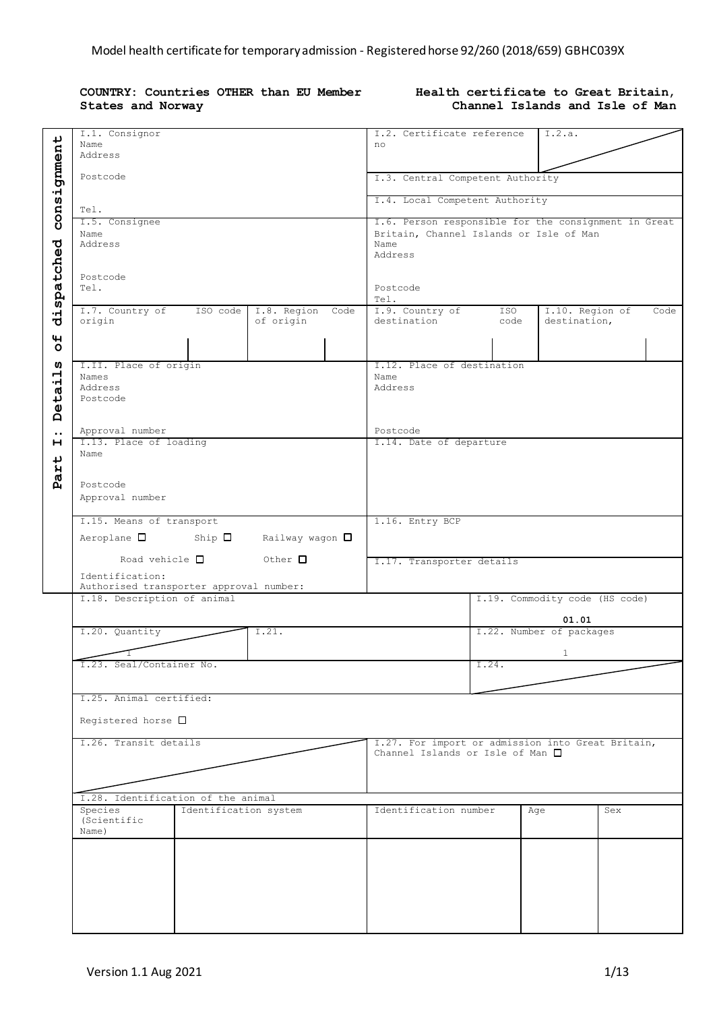## **Health certificate to Great Britain, Channel Islands and Isle of Man**

|                               |                                                               | I.2. Certificate reference                           |                  | I.2.a.                         |      |
|-------------------------------|---------------------------------------------------------------|------------------------------------------------------|------------------|--------------------------------|------|
|                               | I.1. Consignor                                                |                                                      |                  |                                |      |
|                               | Name<br>Address                                               | no                                                   |                  |                                |      |
|                               |                                                               |                                                      |                  |                                |      |
|                               |                                                               |                                                      |                  |                                |      |
|                               | Postcode                                                      | I.3. Central Competent Authority                     |                  |                                |      |
| consignment                   |                                                               | I.4. Local Competent Authority                       |                  |                                |      |
|                               | Tel.                                                          |                                                      |                  |                                |      |
|                               | I.5. Consignee                                                |                                                      |                  |                                |      |
|                               |                                                               | I.6. Person responsible for the consignment in Great |                  |                                |      |
|                               | Name                                                          | Britain, Channel Islands or Isle of Man              |                  |                                |      |
|                               | Address                                                       | Name<br>Address                                      |                  |                                |      |
|                               |                                                               |                                                      |                  |                                |      |
|                               |                                                               |                                                      |                  |                                |      |
|                               | Postcode                                                      |                                                      |                  |                                |      |
|                               | Tel.                                                          | Postcode                                             |                  |                                |      |
| dispatched                    |                                                               | Tel.                                                 |                  |                                |      |
|                               | I.7. Country of ISO code<br>I.8. Region Code                  | I.9. Country of                                      | ISO <sub>0</sub> | I.10. Region of                | Code |
|                               | origin<br>of origin                                           | destination                                          | code             | destination,                   |      |
| Ψ                             |                                                               |                                                      |                  |                                |      |
| O                             |                                                               |                                                      |                  |                                |      |
|                               |                                                               |                                                      |                  |                                |      |
| w<br>$\overline{\phantom{0}}$ | I.II. Place of origin                                         | I.12. Place of destination                           |                  |                                |      |
|                               | Names                                                         | Name                                                 |                  |                                |      |
| tai.                          | Address                                                       | Address                                              |                  |                                |      |
|                               | Postcode                                                      |                                                      |                  |                                |      |
| $\ddot{\mathbf{0}}$<br>Ă      |                                                               |                                                      |                  |                                |      |
|                               |                                                               |                                                      |                  |                                |      |
| $\bullet\bullet$              | Approval number                                               | Postcode                                             |                  |                                |      |
| н                             | I.13. Place of loading                                        | I.14. Date of departure                              |                  |                                |      |
|                               | Name                                                          |                                                      |                  |                                |      |
| art                           |                                                               |                                                      |                  |                                |      |
| Ä                             | Postcode                                                      |                                                      |                  |                                |      |
|                               | Approval number                                               |                                                      |                  |                                |      |
|                               |                                                               |                                                      |                  |                                |      |
|                               |                                                               |                                                      |                  |                                |      |
|                               | I.15. Means of transport                                      | 1.16. Entry BCP                                      |                  |                                |      |
|                               | Aeroplane $\square$ Ship $\square$<br>Railway wagon $\square$ |                                                      |                  |                                |      |
|                               |                                                               |                                                      |                  |                                |      |
|                               | Road vehicle $\square$<br>$\circ$ Other $\Box$                | I.17. Transporter details                            |                  |                                |      |
|                               | Identification:                                               |                                                      |                  |                                |      |
|                               | Authorised transporter approval number:                       |                                                      |                  |                                |      |
|                               | I.18. Description of animal                                   |                                                      |                  | I.19. Commodity code (HS code) |      |
|                               |                                                               |                                                      |                  |                                |      |
|                               |                                                               |                                                      |                  |                                |      |
|                               |                                                               |                                                      |                  | 01.01                          |      |
|                               | I.21.                                                         |                                                      |                  |                                |      |
|                               | I.20. Quantity                                                |                                                      |                  | I.22. Number of packages       |      |
|                               |                                                               |                                                      |                  | $\mathbf{1}$                   |      |
|                               | 1.23. Seal/Container No.                                      |                                                      | I.24.            |                                |      |
|                               |                                                               |                                                      |                  |                                |      |
|                               |                                                               |                                                      |                  |                                |      |
|                               | I.25. Animal certified:                                       |                                                      |                  |                                |      |
|                               |                                                               |                                                      |                  |                                |      |
|                               | Registered horse $\square$                                    |                                                      |                  |                                |      |
|                               |                                                               |                                                      |                  |                                |      |
|                               | I.26. Transit details                                         | I.27. For import or admission into Great Britain,    |                  |                                |      |
|                               |                                                               | Channel Islands or Isle of Man $\square$             |                  |                                |      |
|                               |                                                               |                                                      |                  |                                |      |
|                               |                                                               |                                                      |                  |                                |      |
|                               |                                                               |                                                      |                  |                                |      |
|                               | I.28. Identification of the animal                            |                                                      |                  |                                |      |
|                               | Identification system<br>Species<br>(Scientific               | Identification number                                |                  | Age                            | Sex  |
|                               | Name)                                                         |                                                      |                  |                                |      |
|                               |                                                               |                                                      |                  |                                |      |
|                               |                                                               |                                                      |                  |                                |      |
|                               |                                                               |                                                      |                  |                                |      |
|                               |                                                               |                                                      |                  |                                |      |
|                               |                                                               |                                                      |                  |                                |      |
|                               |                                                               |                                                      |                  |                                |      |
|                               |                                                               |                                                      |                  |                                |      |
|                               |                                                               |                                                      |                  |                                |      |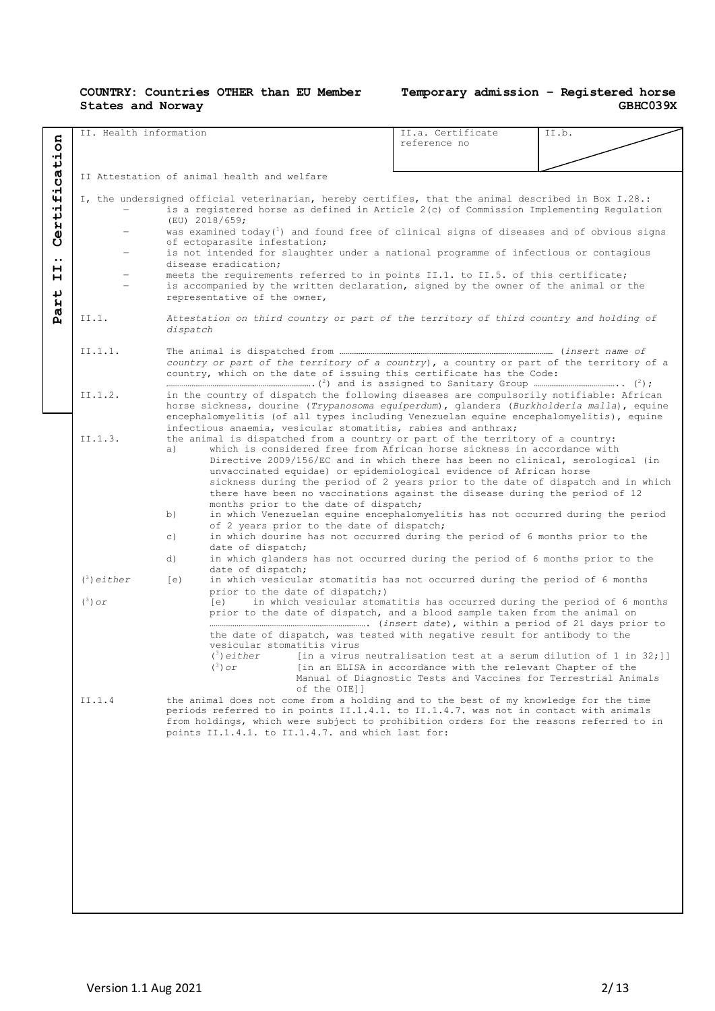|                                                                | II. Health information                                                                                                                                                                                                                                                                                                                |                                                                                                                                                                                                                                                                                                                                                                  | II.a. Certificate                                                                                                                                                                             | II.b. |  |  |  |
|----------------------------------------------------------------|---------------------------------------------------------------------------------------------------------------------------------------------------------------------------------------------------------------------------------------------------------------------------------------------------------------------------------------|------------------------------------------------------------------------------------------------------------------------------------------------------------------------------------------------------------------------------------------------------------------------------------------------------------------------------------------------------------------|-----------------------------------------------------------------------------------------------------------------------------------------------------------------------------------------------|-------|--|--|--|
| cation                                                         |                                                                                                                                                                                                                                                                                                                                       |                                                                                                                                                                                                                                                                                                                                                                  | reference no                                                                                                                                                                                  |       |  |  |  |
|                                                                |                                                                                                                                                                                                                                                                                                                                       |                                                                                                                                                                                                                                                                                                                                                                  |                                                                                                                                                                                               |       |  |  |  |
| स                                                              | II Attestation of animal health and welfare                                                                                                                                                                                                                                                                                           |                                                                                                                                                                                                                                                                                                                                                                  |                                                                                                                                                                                               |       |  |  |  |
| ertif                                                          |                                                                                                                                                                                                                                                                                                                                       | $(EU)$ 2018/659;                                                                                                                                                                                                                                                                                                                                                 | I, the undersigned official veterinarian, hereby certifies, that the animal described in Box I.28.:<br>is a registered horse as defined in Article 2(c) of Commission Implementing Regulation |       |  |  |  |
| Ŭ                                                              |                                                                                                                                                                                                                                                                                                                                       | of ectoparasite infestation;                                                                                                                                                                                                                                                                                                                                     | was examined today( $^1$ ) and found free of clinical signs of diseases and of obvious signs<br>is not intended for slaughter under a national programme of infectious or contagious          |       |  |  |  |
| $\bullet$ $\bullet$<br>н<br>н                                  | disease eradication:<br>meets the requirements referred to in points II.1. to II.5. of this certificate;<br>is accompanied by the written declaration, signed by the owner of the animal or the                                                                                                                                       |                                                                                                                                                                                                                                                                                                                                                                  |                                                                                                                                                                                               |       |  |  |  |
| $\overline{\mathbf{t}}$<br>representative of the owner,<br>Par |                                                                                                                                                                                                                                                                                                                                       |                                                                                                                                                                                                                                                                                                                                                                  |                                                                                                                                                                                               |       |  |  |  |
|                                                                | Attestation on third country or part of the territory of third country and holding of<br>II.1.<br>dispatch                                                                                                                                                                                                                            |                                                                                                                                                                                                                                                                                                                                                                  |                                                                                                                                                                                               |       |  |  |  |
|                                                                | II.1.1.<br>country or part of the territory of a country), a country or part of the territory of a<br>country, which on the date of issuing this certificate has the Code:                                                                                                                                                            |                                                                                                                                                                                                                                                                                                                                                                  |                                                                                                                                                                                               |       |  |  |  |
|                                                                | II.1.2.<br>in the country of dispatch the following diseases are compulsorily notifiable: African<br>horse sickness, dourine (Trypanosoma equiperdum), glanders (Burkholderia malla), equine<br>encephalomyelitis (of all types including Venezuelan equine encephalomyelitis), equine                                                |                                                                                                                                                                                                                                                                                                                                                                  |                                                                                                                                                                                               |       |  |  |  |
|                                                                | infectious anaemia, vesicular stomatitis, rabies and anthrax;<br>II.1.3.<br>the animal is dispatched from a country or part of the territory of a country:<br>which is considered free from African horse sickness in accordance with<br>a)                                                                                           |                                                                                                                                                                                                                                                                                                                                                                  |                                                                                                                                                                                               |       |  |  |  |
|                                                                |                                                                                                                                                                                                                                                                                                                                       | Directive 2009/156/EC and in which there has been no clinical, serological (in<br>unvaccinated equidae) or epidemiological evidence of African horse<br>sickness during the period of 2 years prior to the date of dispatch and in which<br>there have been no vaccinations against the disease during the period of 12<br>months prior to the date of dispatch; |                                                                                                                                                                                               |       |  |  |  |
|                                                                |                                                                                                                                                                                                                                                                                                                                       | b)<br>of 2 years prior to the date of dispatch;                                                                                                                                                                                                                                                                                                                  | in which Venezuelan equine encephalomyelitis has not occurred during the period                                                                                                               |       |  |  |  |
|                                                                |                                                                                                                                                                                                                                                                                                                                       | $\circ$ )<br>date of dispatch;<br>d)                                                                                                                                                                                                                                                                                                                             | in which dourine has not occurred during the period of 6 months prior to the<br>in which glanders has not occurred during the period of 6 months prior to the                                 |       |  |  |  |
|                                                                | $(3)$ either                                                                                                                                                                                                                                                                                                                          | date of dispatch;<br>(e)                                                                                                                                                                                                                                                                                                                                         | in which vesicular stomatitis has not occurred during the period of 6 months                                                                                                                  |       |  |  |  |
|                                                                | $(^3)$ or                                                                                                                                                                                                                                                                                                                             | prior to the date of dispatch;)<br>(e)                                                                                                                                                                                                                                                                                                                           | in which vesicular stomatitis has occurred during the period of 6 months<br>prior to the date of dispatch, and a blood sample taken from the animal on                                        |       |  |  |  |
|                                                                |                                                                                                                                                                                                                                                                                                                                       | vesicular stomatitis virus<br>$\binom{3}{2}$ either                                                                                                                                                                                                                                                                                                              | the date of dispatch, was tested with negative result for antibody to the<br>[in a virus neutralisation test at a serum dilution of 1 in 32;]]                                                |       |  |  |  |
|                                                                |                                                                                                                                                                                                                                                                                                                                       | $(\lambda^3)$ or                                                                                                                                                                                                                                                                                                                                                 | [in an ELISA in accordance with the relevant Chapter of the<br>Manual of Diagnostic Tests and Vaccines for Terrestrial Animals<br>of the OIE]]                                                |       |  |  |  |
|                                                                | II.1.4<br>the animal does not come from a holding and to the best of my knowledge for the time<br>periods referred to in points II.1.4.1. to II.1.4.7. was not in contact with animals<br>from holdings, which were subject to prohibition orders for the reasons referred to in<br>points II.1.4.1. to II.1.4.7. and which last for: |                                                                                                                                                                                                                                                                                                                                                                  |                                                                                                                                                                                               |       |  |  |  |
|                                                                |                                                                                                                                                                                                                                                                                                                                       |                                                                                                                                                                                                                                                                                                                                                                  |                                                                                                                                                                                               |       |  |  |  |
|                                                                |                                                                                                                                                                                                                                                                                                                                       |                                                                                                                                                                                                                                                                                                                                                                  |                                                                                                                                                                                               |       |  |  |  |
|                                                                |                                                                                                                                                                                                                                                                                                                                       |                                                                                                                                                                                                                                                                                                                                                                  |                                                                                                                                                                                               |       |  |  |  |
|                                                                |                                                                                                                                                                                                                                                                                                                                       |                                                                                                                                                                                                                                                                                                                                                                  |                                                                                                                                                                                               |       |  |  |  |
|                                                                |                                                                                                                                                                                                                                                                                                                                       |                                                                                                                                                                                                                                                                                                                                                                  |                                                                                                                                                                                               |       |  |  |  |
|                                                                |                                                                                                                                                                                                                                                                                                                                       |                                                                                                                                                                                                                                                                                                                                                                  |                                                                                                                                                                                               |       |  |  |  |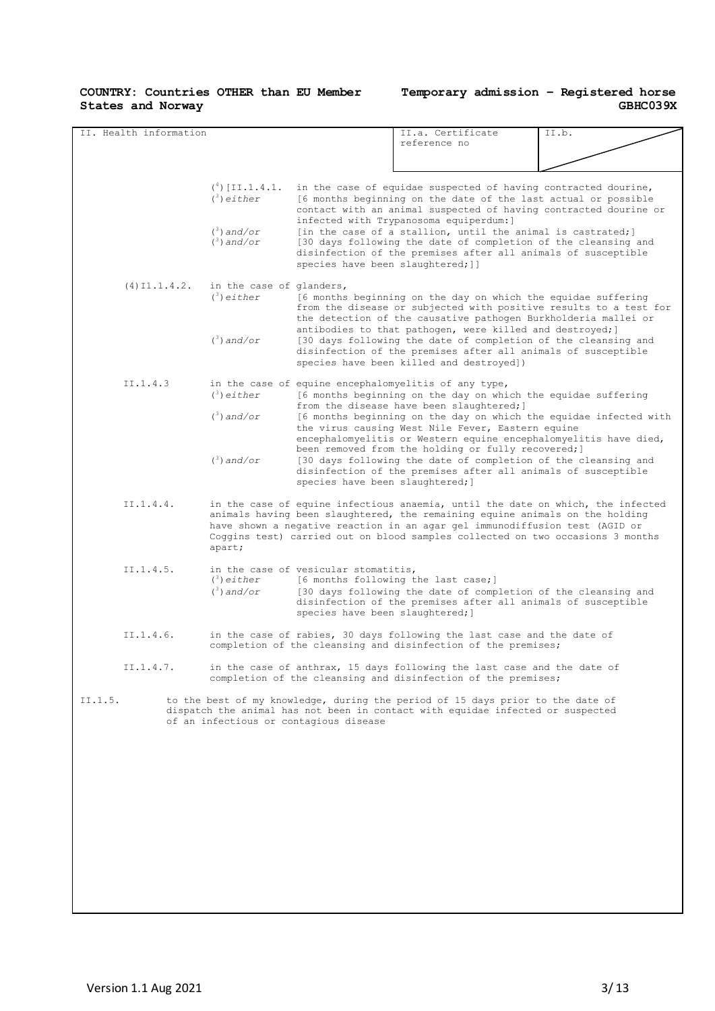| II. Health information |                                                |                                                                                                                                                                                                                                                   | II.a. Certificate                                                                                                                                                                                                                                                                                                                | II.b. |  |
|------------------------|------------------------------------------------|---------------------------------------------------------------------------------------------------------------------------------------------------------------------------------------------------------------------------------------------------|----------------------------------------------------------------------------------------------------------------------------------------------------------------------------------------------------------------------------------------------------------------------------------------------------------------------------------|-------|--|
|                        |                                                |                                                                                                                                                                                                                                                   | reference no                                                                                                                                                                                                                                                                                                                     |       |  |
|                        |                                                |                                                                                                                                                                                                                                                   |                                                                                                                                                                                                                                                                                                                                  |       |  |
|                        | $({}^{4})$ [II.1.4.1.<br>$\binom{3}{2}$ either |                                                                                                                                                                                                                                                   | in the case of equidae suspected of having contracted dourine,<br>[6 months beginning on the date of the last actual or possible<br>contact with an animal suspected of having contracted dourine or<br>infected with Trypanosoma equiperdum: ]                                                                                  |       |  |
|                        | $(3)$ and/or<br>$\binom{3}{2}$ and/or          | [in the case of a stallion, until the animal is castrated;]<br>[30 days following the date of completion of the cleansing and<br>disinfection of the premises after all animals of susceptible<br>species have been slaughtered; ]]               |                                                                                                                                                                                                                                                                                                                                  |       |  |
| $(4)$ I1.1.4.2.        | in the case of glanders,<br>$(3)$ either       | [6 months beginning on the day on which the equidae suffering<br>from the disease or subjected with positive results to a test for<br>the detection of the causative pathogen Burkholderia mallei or                                              |                                                                                                                                                                                                                                                                                                                                  |       |  |
|                        | $\binom{3}{2}$ and/or                          | antibodies to that pathogen, were killed and destroyed; ]<br>[30 days following the date of completion of the cleansing and<br>disinfection of the premises after all animals of susceptible<br>species have been killed and destroyed])          |                                                                                                                                                                                                                                                                                                                                  |       |  |
| TT.1.4.3               | $\binom{3}{2}$ either                          |                                                                                                                                                                                                                                                   | in the case of equine encephalomyelitis of any type,<br>[6 months beginning on the day on which the equidae suffering<br>from the disease have been slaughtered; ]                                                                                                                                                               |       |  |
|                        | $\binom{3}{2}$ and/or                          | [6 months beginning on the day on which the equidae infected with<br>the virus causing West Nile Fever, Eastern equine<br>encephalomyelitis or Western equine encephalomyelitis have died,<br>been removed from the holding or fully recovered; ] |                                                                                                                                                                                                                                                                                                                                  |       |  |
|                        | $\binom{3}{2}$ and/or                          | [30 days following the date of completion of the cleansing and<br>disinfection of the premises after all animals of susceptible<br>species have been slaughtered; ]                                                                               |                                                                                                                                                                                                                                                                                                                                  |       |  |
| II.1.4.4.              | apart;                                         |                                                                                                                                                                                                                                                   | in the case of equine infectious anaemia, until the date on which, the infected<br>animals having been slaughtered, the remaining equine animals on the holding<br>have shown a negative reaction in an agar gel immunodiffusion test (AGID or<br>Coggins test) carried out on blood samples collected on two occasions 3 months |       |  |
| II.1.4.5.              | $\binom{3}{2}$ either<br>$(3)$ and/or          | in the case of vesicular stomatitis,<br>species have been slaughtered; ]                                                                                                                                                                          | [6 months following the last case;]<br>[30 days following the date of completion of the cleansing and<br>disinfection of the premises after all animals of susceptible                                                                                                                                                           |       |  |
| II.1.4.6.              |                                                |                                                                                                                                                                                                                                                   | in the case of rabies, 30 days following the last case and the date of<br>completion of the cleansing and disinfection of the premises;                                                                                                                                                                                          |       |  |
| II.1.4.7.              |                                                |                                                                                                                                                                                                                                                   | in the case of anthrax, 15 days following the last case and the date of<br>completion of the cleansing and disinfection of the premises;                                                                                                                                                                                         |       |  |
| II.1.5.                |                                                | of an infectious or contagious disease                                                                                                                                                                                                            | to the best of my knowledge, during the period of 15 days prior to the date of<br>dispatch the animal has not been in contact with equidae infected or suspected                                                                                                                                                                 |       |  |
|                        |                                                |                                                                                                                                                                                                                                                   |                                                                                                                                                                                                                                                                                                                                  |       |  |
|                        |                                                |                                                                                                                                                                                                                                                   |                                                                                                                                                                                                                                                                                                                                  |       |  |
|                        |                                                |                                                                                                                                                                                                                                                   |                                                                                                                                                                                                                                                                                                                                  |       |  |
|                        |                                                |                                                                                                                                                                                                                                                   |                                                                                                                                                                                                                                                                                                                                  |       |  |
|                        |                                                |                                                                                                                                                                                                                                                   |                                                                                                                                                                                                                                                                                                                                  |       |  |
|                        |                                                |                                                                                                                                                                                                                                                   |                                                                                                                                                                                                                                                                                                                                  |       |  |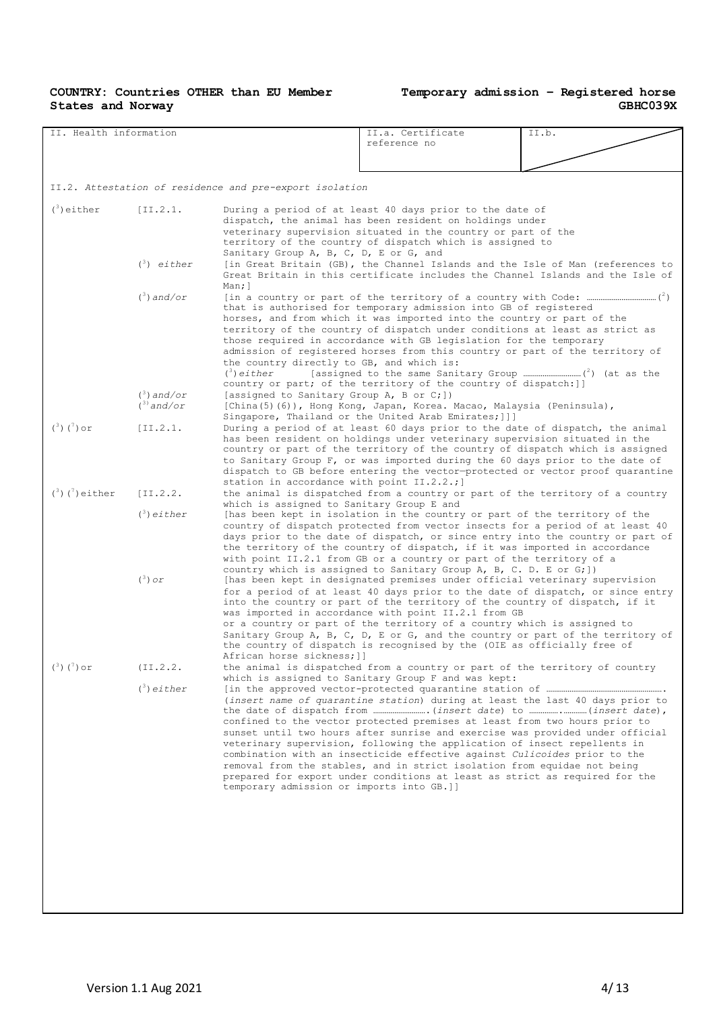| II. Health information                                                                                                                                                                                                                                                                                                                                                                                                                                                                                                                                                                                                                                                                                    |                                                                                                                                                                                                                                   |                                                                                                                                                                                                                                                                                                                              | II.a. Certificate                                                                                                                                                                                                                                                                                                                                                                                                                                                                                                                                                 | II.b. |  |  |  |
|-----------------------------------------------------------------------------------------------------------------------------------------------------------------------------------------------------------------------------------------------------------------------------------------------------------------------------------------------------------------------------------------------------------------------------------------------------------------------------------------------------------------------------------------------------------------------------------------------------------------------------------------------------------------------------------------------------------|-----------------------------------------------------------------------------------------------------------------------------------------------------------------------------------------------------------------------------------|------------------------------------------------------------------------------------------------------------------------------------------------------------------------------------------------------------------------------------------------------------------------------------------------------------------------------|-------------------------------------------------------------------------------------------------------------------------------------------------------------------------------------------------------------------------------------------------------------------------------------------------------------------------------------------------------------------------------------------------------------------------------------------------------------------------------------------------------------------------------------------------------------------|-------|--|--|--|
|                                                                                                                                                                                                                                                                                                                                                                                                                                                                                                                                                                                                                                                                                                           |                                                                                                                                                                                                                                   |                                                                                                                                                                                                                                                                                                                              | reference no                                                                                                                                                                                                                                                                                                                                                                                                                                                                                                                                                      |       |  |  |  |
|                                                                                                                                                                                                                                                                                                                                                                                                                                                                                                                                                                                                                                                                                                           |                                                                                                                                                                                                                                   |                                                                                                                                                                                                                                                                                                                              |                                                                                                                                                                                                                                                                                                                                                                                                                                                                                                                                                                   |       |  |  |  |
|                                                                                                                                                                                                                                                                                                                                                                                                                                                                                                                                                                                                                                                                                                           |                                                                                                                                                                                                                                   |                                                                                                                                                                                                                                                                                                                              |                                                                                                                                                                                                                                                                                                                                                                                                                                                                                                                                                                   |       |  |  |  |
|                                                                                                                                                                                                                                                                                                                                                                                                                                                                                                                                                                                                                                                                                                           |                                                                                                                                                                                                                                   | II.2. Attestation of residence and pre-export isolation                                                                                                                                                                                                                                                                      |                                                                                                                                                                                                                                                                                                                                                                                                                                                                                                                                                                   |       |  |  |  |
| $(3)$ either                                                                                                                                                                                                                                                                                                                                                                                                                                                                                                                                                                                                                                                                                              | [I1.2.1]                                                                                                                                                                                                                          | During a period of at least 40 days prior to the date of<br>dispatch, the animal has been resident on holdings under<br>veterinary supervision situated in the country or part of the<br>territory of the country of dispatch which is assigned to<br>Sanitary Group A, B, C, D, E or G, and                                 |                                                                                                                                                                                                                                                                                                                                                                                                                                                                                                                                                                   |       |  |  |  |
|                                                                                                                                                                                                                                                                                                                                                                                                                                                                                                                                                                                                                                                                                                           |                                                                                                                                                                                                                                   |                                                                                                                                                                                                                                                                                                                              |                                                                                                                                                                                                                                                                                                                                                                                                                                                                                                                                                                   |       |  |  |  |
|                                                                                                                                                                                                                                                                                                                                                                                                                                                                                                                                                                                                                                                                                                           | $\binom{3}{2}$ either                                                                                                                                                                                                             | [in Great Britain (GB), the Channel Islands and the Isle of Man (references to<br>Great Britain in this certificate includes the Channel Islands and the Isle of<br>Man; 1                                                                                                                                                   |                                                                                                                                                                                                                                                                                                                                                                                                                                                                                                                                                                   |       |  |  |  |
|                                                                                                                                                                                                                                                                                                                                                                                                                                                                                                                                                                                                                                                                                                           | $(3)$ and/or                                                                                                                                                                                                                      |                                                                                                                                                                                                                                                                                                                              | that is authorised for temporary admission into GB of registered<br>horses, and from which it was imported into the country or part of the                                                                                                                                                                                                                                                                                                                                                                                                                        |       |  |  |  |
|                                                                                                                                                                                                                                                                                                                                                                                                                                                                                                                                                                                                                                                                                                           | territory of the country of dispatch under conditions at least as strict as<br>those required in accordance with GB legislation for the temporary<br>admission of registered horses from this country or part of the territory of |                                                                                                                                                                                                                                                                                                                              |                                                                                                                                                                                                                                                                                                                                                                                                                                                                                                                                                                   |       |  |  |  |
|                                                                                                                                                                                                                                                                                                                                                                                                                                                                                                                                                                                                                                                                                                           |                                                                                                                                                                                                                                   | the country directly to GB, and which is:<br>$\binom{3}{2}$ either<br>country or part; of the territory of the country of dispatch: ]]<br>[assigned to Sanitary Group A, B or C;])<br>[China(5)(6)), Hong Kong, Japan, Korea. Macao, Malaysia (Peninsula),<br>Singapore, Thailand or the United Arab Emirates; []]           |                                                                                                                                                                                                                                                                                                                                                                                                                                                                                                                                                                   |       |  |  |  |
|                                                                                                                                                                                                                                                                                                                                                                                                                                                                                                                                                                                                                                                                                                           | $(3)$ and/or<br>$(3)$ and/or                                                                                                                                                                                                      |                                                                                                                                                                                                                                                                                                                              |                                                                                                                                                                                                                                                                                                                                                                                                                                                                                                                                                                   |       |  |  |  |
| $({}^{3})$ $({}^{7})$ or                                                                                                                                                                                                                                                                                                                                                                                                                                                                                                                                                                                                                                                                                  | [II.2.1]                                                                                                                                                                                                                          | During a period of at least 60 days prior to the date of dispatch, the animal<br>has been resident on holdings under veterinary supervision situated in the<br>country or part of the territory of the country of dispatch which is assigned<br>to Sanitary Group F, or was imported during the 60 days prior to the date of |                                                                                                                                                                                                                                                                                                                                                                                                                                                                                                                                                                   |       |  |  |  |
|                                                                                                                                                                                                                                                                                                                                                                                                                                                                                                                                                                                                                                                                                                           |                                                                                                                                                                                                                                   | dispatch to GB before entering the vector-protected or vector proof quarantine<br>station in accordance with point II.2.2.; ]                                                                                                                                                                                                |                                                                                                                                                                                                                                                                                                                                                                                                                                                                                                                                                                   |       |  |  |  |
| $(3)(7)$ either                                                                                                                                                                                                                                                                                                                                                                                                                                                                                                                                                                                                                                                                                           | $[II.2.2.$                                                                                                                                                                                                                        | which is assigned to Sanitary Group E and                                                                                                                                                                                                                                                                                    | the animal is dispatched from a country or part of the territory of a country                                                                                                                                                                                                                                                                                                                                                                                                                                                                                     |       |  |  |  |
|                                                                                                                                                                                                                                                                                                                                                                                                                                                                                                                                                                                                                                                                                                           | $(3)$ either                                                                                                                                                                                                                      |                                                                                                                                                                                                                                                                                                                              | [has been kept in isolation in the country or part of the territory of the<br>country of dispatch protected from vector insects for a period of at least 40<br>days prior to the date of dispatch, or since entry into the country or part of<br>the territory of the country of dispatch, if it was imported in accordance                                                                                                                                                                                                                                       |       |  |  |  |
| with point II.2.1 from GB or a country or part of the territory of a<br>country which is assigned to Sanitary Group A, B, C. D. E or $G;$ ])<br>$(^3)$ or<br>[has been kept in designated premises under official veterinary supervision<br>for a period of at least 40 days prior to the date of dispatch, or since entry<br>into the country or part of the territory of the country of dispatch, if it<br>was imported in accordance with point II.2.1 from GB<br>or a country or part of the territory of a country which is assigned to<br>Sanitary Group A, B, C, D, E or G, and the country or part of the territory of<br>the country of dispatch is recognised by the (OIE as officially free of |                                                                                                                                                                                                                                   |                                                                                                                                                                                                                                                                                                                              |                                                                                                                                                                                                                                                                                                                                                                                                                                                                                                                                                                   |       |  |  |  |
| $(^3)$ $(^7)$ or                                                                                                                                                                                                                                                                                                                                                                                                                                                                                                                                                                                                                                                                                          | $(\text{II}.2.2.$                                                                                                                                                                                                                 |                                                                                                                                                                                                                                                                                                                              | the animal is dispatched from a country or part of the territory of country<br>which is assigned to Sanitary Group F and was kept:                                                                                                                                                                                                                                                                                                                                                                                                                                |       |  |  |  |
|                                                                                                                                                                                                                                                                                                                                                                                                                                                                                                                                                                                                                                                                                                           | $\binom{3}{2}$ either                                                                                                                                                                                                             | temporary admission or imports into GB.]]                                                                                                                                                                                                                                                                                    | (insert name of quarantine station) during at least the last 40 days prior to<br>confined to the vector protected premises at least from two hours prior to<br>sunset until two hours after sunrise and exercise was provided under official<br>veterinary supervision, following the application of insect repellents in<br>combination with an insecticide effective against Culicoides prior to the<br>removal from the stables, and in strict isolation from equidae not being<br>prepared for export under conditions at least as strict as required for the |       |  |  |  |
|                                                                                                                                                                                                                                                                                                                                                                                                                                                                                                                                                                                                                                                                                                           |                                                                                                                                                                                                                                   |                                                                                                                                                                                                                                                                                                                              |                                                                                                                                                                                                                                                                                                                                                                                                                                                                                                                                                                   |       |  |  |  |
|                                                                                                                                                                                                                                                                                                                                                                                                                                                                                                                                                                                                                                                                                                           |                                                                                                                                                                                                                                   |                                                                                                                                                                                                                                                                                                                              |                                                                                                                                                                                                                                                                                                                                                                                                                                                                                                                                                                   |       |  |  |  |
|                                                                                                                                                                                                                                                                                                                                                                                                                                                                                                                                                                                                                                                                                                           |                                                                                                                                                                                                                                   |                                                                                                                                                                                                                                                                                                                              |                                                                                                                                                                                                                                                                                                                                                                                                                                                                                                                                                                   |       |  |  |  |
|                                                                                                                                                                                                                                                                                                                                                                                                                                                                                                                                                                                                                                                                                                           |                                                                                                                                                                                                                                   |                                                                                                                                                                                                                                                                                                                              |                                                                                                                                                                                                                                                                                                                                                                                                                                                                                                                                                                   |       |  |  |  |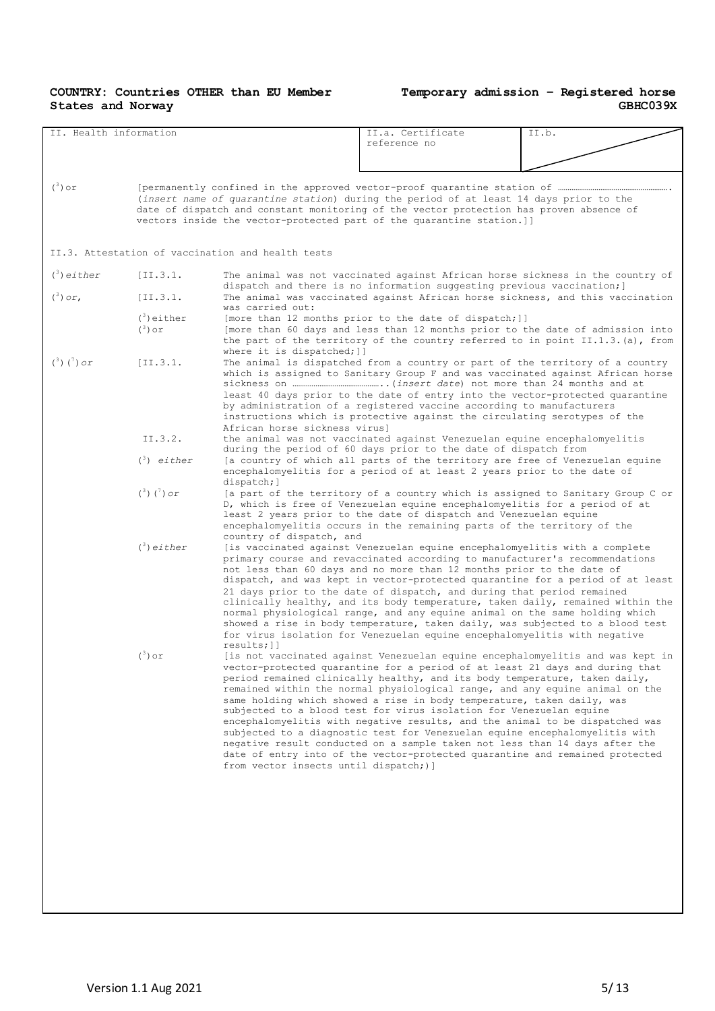| II. Health information |                                                                                           |                                                                                                                                                           | II.a. Certificate                                                                                                                                       | II.b. |  |  |
|------------------------|-------------------------------------------------------------------------------------------|-----------------------------------------------------------------------------------------------------------------------------------------------------------|---------------------------------------------------------------------------------------------------------------------------------------------------------|-------|--|--|
|                        |                                                                                           |                                                                                                                                                           | reference no                                                                                                                                            |       |  |  |
|                        |                                                                                           |                                                                                                                                                           |                                                                                                                                                         |       |  |  |
|                        |                                                                                           |                                                                                                                                                           |                                                                                                                                                         |       |  |  |
| $(\sqrt[3]{\cdot})$ or |                                                                                           |                                                                                                                                                           |                                                                                                                                                         |       |  |  |
|                        |                                                                                           |                                                                                                                                                           | (insert name of quarantine station) during the period of at least 14 days prior to the                                                                  |       |  |  |
|                        |                                                                                           |                                                                                                                                                           | date of dispatch and constant monitoring of the vector protection has proven absence of                                                                 |       |  |  |
|                        |                                                                                           |                                                                                                                                                           | vectors inside the vector-protected part of the quarantine station.]]                                                                                   |       |  |  |
|                        |                                                                                           |                                                                                                                                                           |                                                                                                                                                         |       |  |  |
|                        |                                                                                           | II.3. Attestation of vaccination and health tests                                                                                                         |                                                                                                                                                         |       |  |  |
| $\binom{3}{2}$ either  | [II.3.1]                                                                                  | The animal was not vaccinated against African horse sickness in the country of<br>dispatch and there is no information suggesting previous vaccination; ] |                                                                                                                                                         |       |  |  |
| $(^3)$ or,             | [II.3.1]                                                                                  | The animal was vaccinated against African horse sickness, and this vaccination<br>was carried out:                                                        |                                                                                                                                                         |       |  |  |
|                        | $(3)$ either                                                                              |                                                                                                                                                           | [more than 12 months prior to the date of dispatch;]]                                                                                                   |       |  |  |
|                        | $(3)$ or                                                                                  |                                                                                                                                                           | [more than 60 days and less than 12 months prior to the date of admission into                                                                          |       |  |  |
|                        |                                                                                           | where it is dispatched; ]]                                                                                                                                | the part of the territory of the country referred to in point II.1.3.(a), from                                                                          |       |  |  |
| $({}^3)$ $({}^7)$ or   | [I1.3.1]<br>The animal is dispatched from a country or part of the territory of a country |                                                                                                                                                           |                                                                                                                                                         |       |  |  |
|                        |                                                                                           |                                                                                                                                                           | which is assigned to Sanitary Group F and was vaccinated against African horse                                                                          |       |  |  |
|                        |                                                                                           |                                                                                                                                                           |                                                                                                                                                         |       |  |  |
|                        |                                                                                           |                                                                                                                                                           | least 40 days prior to the date of entry into the vector-protected quarantine                                                                           |       |  |  |
|                        |                                                                                           | by administration of a registered vaccine according to manufacturers<br>instructions which is protective against the circulating serotypes of the         |                                                                                                                                                         |       |  |  |
|                        |                                                                                           | African horse sickness virus]                                                                                                                             |                                                                                                                                                         |       |  |  |
|                        | II.3.2.                                                                                   |                                                                                                                                                           | the animal was not vaccinated against Venezuelan equine encephalomyelitis                                                                               |       |  |  |
|                        |                                                                                           |                                                                                                                                                           | during the period of 60 days prior to the date of dispatch from                                                                                         |       |  |  |
|                        | $\binom{3}{2}$ either                                                                     | dispatch; ]                                                                                                                                               | [a country of which all parts of the territory are free of Venezuelan equine<br>encephalomyelitis for a period of at least 2 years prior to the date of |       |  |  |
|                        | $(^3)$ $(^7)$ or                                                                          |                                                                                                                                                           | [a part of the territory of a country which is assigned to Sanitary Group C or                                                                          |       |  |  |
|                        |                                                                                           |                                                                                                                                                           | D, which is free of Venezuelan equine encephalomyelitis for a period of at<br>least 2 years prior to the date of dispatch and Venezuelan equine         |       |  |  |
|                        |                                                                                           | country of dispatch, and                                                                                                                                  | encephalomyelitis occurs in the remaining parts of the territory of the                                                                                 |       |  |  |
|                        | $\binom{3}{2}$ either                                                                     |                                                                                                                                                           | [is vaccinated against Venezuelan equine encephalomyelitis with a complete                                                                              |       |  |  |
|                        |                                                                                           |                                                                                                                                                           | primary course and revaccinated according to manufacturer's recommendations                                                                             |       |  |  |
|                        |                                                                                           |                                                                                                                                                           | not less than 60 days and no more than 12 months prior to the date of<br>dispatch, and was kept in vector-protected quarantine for a period of at least |       |  |  |
|                        |                                                                                           |                                                                                                                                                           | 21 days prior to the date of dispatch, and during that period remained                                                                                  |       |  |  |
|                        |                                                                                           |                                                                                                                                                           | clinically healthy, and its body temperature, taken daily, remained within the                                                                          |       |  |  |
|                        |                                                                                           |                                                                                                                                                           | normal physiological range, and any equine animal on the same holding which                                                                             |       |  |  |
|                        |                                                                                           |                                                                                                                                                           | showed a rise in body temperature, taken daily, was subjected to a blood test                                                                           |       |  |  |
|                        |                                                                                           | $results;$ ]]                                                                                                                                             | for virus isolation for Venezuelan equine encephalomyelitis with negative                                                                               |       |  |  |
|                        | $(3)$ or                                                                                  |                                                                                                                                                           | [is not vaccinated against Venezuelan equine encephalomyelitis and was kept in                                                                          |       |  |  |
|                        |                                                                                           |                                                                                                                                                           | vector-protected quarantine for a period of at least 21 days and during that                                                                            |       |  |  |
|                        |                                                                                           |                                                                                                                                                           | period remained clinically healthy, and its body temperature, taken daily,                                                                              |       |  |  |
|                        |                                                                                           |                                                                                                                                                           | remained within the normal physiological range, and any equine animal on the                                                                            |       |  |  |
|                        |                                                                                           |                                                                                                                                                           | same holding which showed a rise in body temperature, taken daily, was                                                                                  |       |  |  |
|                        |                                                                                           |                                                                                                                                                           | subjected to a blood test for virus isolation for Venezuelan equine<br>encephalomyelitis with negative results, and the animal to be dispatched was     |       |  |  |
|                        |                                                                                           |                                                                                                                                                           | subjected to a diagnostic test for Venezuelan equine encephalomyelitis with                                                                             |       |  |  |
|                        |                                                                                           |                                                                                                                                                           | negative result conducted on a sample taken not less than 14 days after the                                                                             |       |  |  |
|                        |                                                                                           |                                                                                                                                                           | date of entry into of the vector-protected quarantine and remained protected                                                                            |       |  |  |
|                        |                                                                                           | from vector insects until dispatch;)]                                                                                                                     |                                                                                                                                                         |       |  |  |
|                        |                                                                                           |                                                                                                                                                           |                                                                                                                                                         |       |  |  |
|                        |                                                                                           |                                                                                                                                                           |                                                                                                                                                         |       |  |  |
|                        |                                                                                           |                                                                                                                                                           |                                                                                                                                                         |       |  |  |
|                        |                                                                                           |                                                                                                                                                           |                                                                                                                                                         |       |  |  |
|                        |                                                                                           |                                                                                                                                                           |                                                                                                                                                         |       |  |  |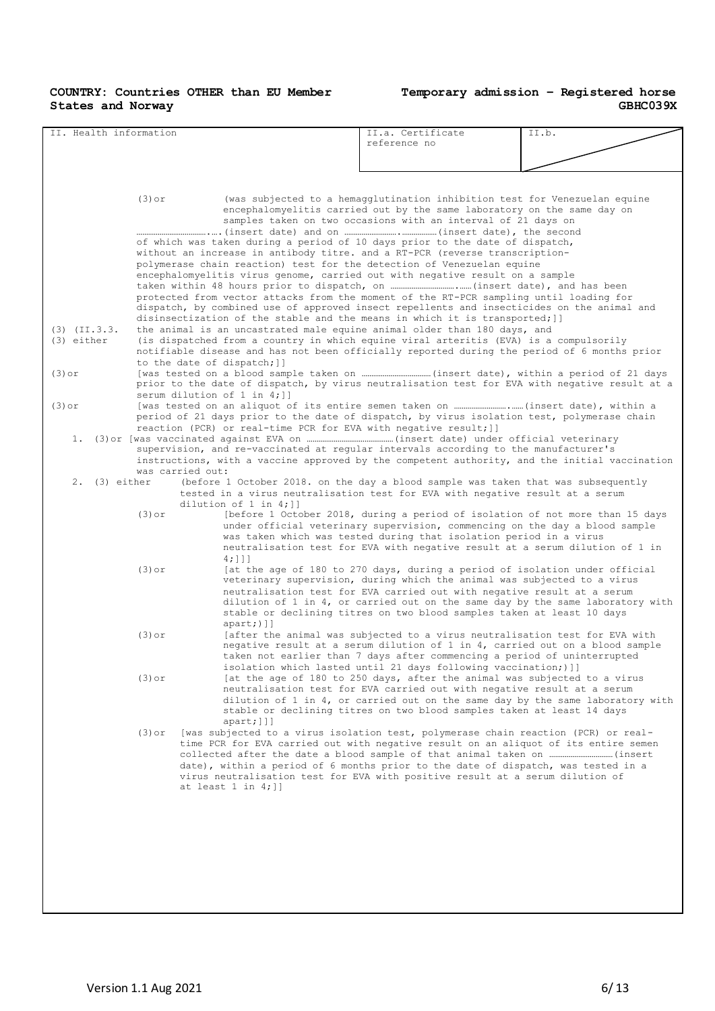| II. Health information                                                                     |          |                                                                                                                                                                   | II.a. Certificate                                                                                                                                        | II.b.                                                                          |  |
|--------------------------------------------------------------------------------------------|----------|-------------------------------------------------------------------------------------------------------------------------------------------------------------------|----------------------------------------------------------------------------------------------------------------------------------------------------------|--------------------------------------------------------------------------------|--|
|                                                                                            |          |                                                                                                                                                                   | reference no                                                                                                                                             |                                                                                |  |
|                                                                                            |          |                                                                                                                                                                   |                                                                                                                                                          |                                                                                |  |
|                                                                                            |          |                                                                                                                                                                   |                                                                                                                                                          |                                                                                |  |
|                                                                                            | $(3)$ or |                                                                                                                                                                   | (was subjected to a hemagglutination inhibition test for Venezuelan equine                                                                               |                                                                                |  |
|                                                                                            |          |                                                                                                                                                                   | encephalomyelitis carried out by the same laboratory on the same day on                                                                                  |                                                                                |  |
|                                                                                            |          |                                                                                                                                                                   | samples taken on two occasions with an interval of 21 days on                                                                                            |                                                                                |  |
|                                                                                            |          | of which was taken during a period of 10 days prior to the date of dispatch,                                                                                      |                                                                                                                                                          |                                                                                |  |
|                                                                                            |          | without an increase in antibody titre. and a RT-PCR (reverse transcription-<br>polymerase chain reaction) test for the detection of Venezuelan equine             |                                                                                                                                                          |                                                                                |  |
|                                                                                            |          | encephalomyelitis virus genome, carried out with negative result on a sample                                                                                      |                                                                                                                                                          |                                                                                |  |
|                                                                                            |          | protected from vector attacks from the moment of the RT-PCR sampling until loading for                                                                            |                                                                                                                                                          |                                                                                |  |
|                                                                                            |          | dispatch, by combined use of approved insect repellents and insecticides on the animal and                                                                        |                                                                                                                                                          |                                                                                |  |
|                                                                                            |          | disinsectization of the stable and the means in which it is transported; []                                                                                       |                                                                                                                                                          |                                                                                |  |
| $(3)$ $(II.3.3.$<br>$(3)$ either                                                           |          | the animal is an uncastrated male equine animal older than 180 days, and<br>(is dispatched from a country in which equine viral arteritis (EVA) is a compulsorily |                                                                                                                                                          |                                                                                |  |
|                                                                                            |          | notifiable disease and has not been officially reported during the period of 6 months prior                                                                       |                                                                                                                                                          |                                                                                |  |
| to the date of dispatch; ]]<br>$(3)$ or                                                    |          |                                                                                                                                                                   |                                                                                                                                                          |                                                                                |  |
|                                                                                            |          | prior to the date of dispatch, by virus neutralisation test for EVA with negative result at a                                                                     |                                                                                                                                                          |                                                                                |  |
| serum dilution of $1$ in $4;$ ]]<br>$(3)$ or                                               |          |                                                                                                                                                                   |                                                                                                                                                          |                                                                                |  |
| period of 21 days prior to the date of dispatch, by virus isolation test, polymerase chain |          |                                                                                                                                                                   |                                                                                                                                                          |                                                                                |  |
|                                                                                            |          | reaction (PCR) or real-time PCR for EVA with negative result; ]]                                                                                                  |                                                                                                                                                          |                                                                                |  |
|                                                                                            |          | supervision, and re-vaccinated at regular intervals according to the manufacturer's                                                                               |                                                                                                                                                          |                                                                                |  |
|                                                                                            |          | instructions, with a vaccine approved by the competent authority, and the initial vaccination                                                                     |                                                                                                                                                          |                                                                                |  |
| $2.$ (3) either                                                                            |          | was carried out:<br>(before 1 October 2018. on the day a blood sample was taken that was subsequently                                                             |                                                                                                                                                          |                                                                                |  |
|                                                                                            |          | tested in a virus neutralisation test for EVA with negative result at a serum                                                                                     |                                                                                                                                                          |                                                                                |  |
|                                                                                            | $(3)$ or | dilution of $1$ in $4;$ ]]                                                                                                                                        | [before 1 October 2018, during a period of isolation of not more than 15 days                                                                            |                                                                                |  |
|                                                                                            |          |                                                                                                                                                                   | under official veterinary supervision, commencing on the day a blood sample                                                                              |                                                                                |  |
|                                                                                            |          |                                                                                                                                                                   | was taken which was tested during that isolation period in a virus<br>neutralisation test for EVA with negative result at a serum dilution of 1 in       |                                                                                |  |
|                                                                                            |          | 4;111                                                                                                                                                             |                                                                                                                                                          |                                                                                |  |
|                                                                                            | $(3)$ or |                                                                                                                                                                   | [at the age of 180 to 270 days, during a period of isolation under official<br>veterinary supervision, during which the animal was subjected to a virus  |                                                                                |  |
|                                                                                            |          |                                                                                                                                                                   | neutralisation test for EVA carried out with negative result at a serum                                                                                  |                                                                                |  |
|                                                                                            |          |                                                                                                                                                                   | stable or declining titres on two blood samples taken at least 10 days                                                                                   | dilution of 1 in 4, or carried out on the same day by the same laboratory with |  |
|                                                                                            |          | apart;)]]                                                                                                                                                         |                                                                                                                                                          |                                                                                |  |
|                                                                                            | $(3)$ or |                                                                                                                                                                   | [after the animal was subjected to a virus neutralisation test for EVA with                                                                              |                                                                                |  |
|                                                                                            |          |                                                                                                                                                                   | negative result at a serum dilution of 1 in 4, carried out on a blood sample<br>taken not earlier than 7 days after commencing a period of uninterrupted |                                                                                |  |
|                                                                                            |          |                                                                                                                                                                   | isolation which lasted until 21 days following vaccination;)]]                                                                                           |                                                                                |  |
|                                                                                            | $(3)$ or |                                                                                                                                                                   | [at the age of 180 to 250 days, after the animal was subjected to a virus<br>neutralisation test for EVA carried out with negative result at a serum     |                                                                                |  |
|                                                                                            |          |                                                                                                                                                                   |                                                                                                                                                          | dilution of 1 in 4, or carried out on the same day by the same laboratory with |  |
| stable or declining titres on two blood samples taken at least 14 days<br>apart; []]       |          |                                                                                                                                                                   |                                                                                                                                                          |                                                                                |  |
|                                                                                            | $(3)$ or | [was subjected to a virus isolation test, polymerase chain reaction (PCR) or real-                                                                                |                                                                                                                                                          |                                                                                |  |
|                                                                                            |          | time PCR for EVA carried out with negative result on an aliquot of its entire semen                                                                               |                                                                                                                                                          |                                                                                |  |
|                                                                                            |          | date), within a period of 6 months prior to the date of dispatch, was tested in a                                                                                 |                                                                                                                                                          |                                                                                |  |
|                                                                                            |          | virus neutralisation test for EVA with positive result at a serum dilution of<br>at least $1$ in $4;$ ]]                                                          |                                                                                                                                                          |                                                                                |  |
|                                                                                            |          |                                                                                                                                                                   |                                                                                                                                                          |                                                                                |  |
|                                                                                            |          |                                                                                                                                                                   |                                                                                                                                                          |                                                                                |  |
|                                                                                            |          |                                                                                                                                                                   |                                                                                                                                                          |                                                                                |  |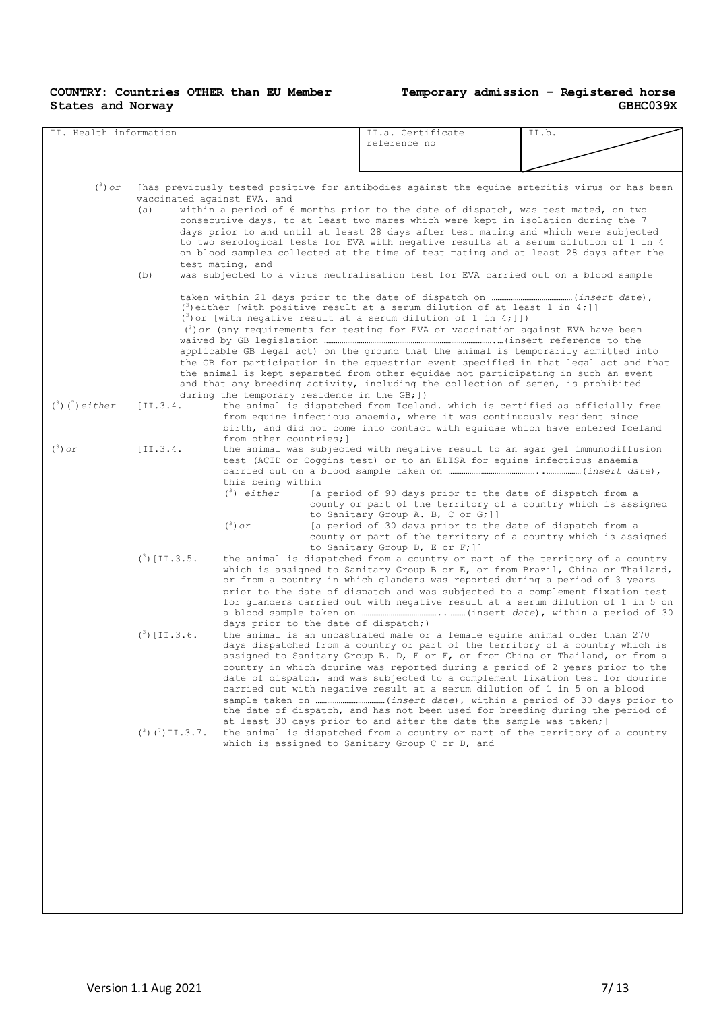| II. Health information                       |                 |                                              | II.a. Certificate                                                                                                                                               | II.b. |  |
|----------------------------------------------|-----------------|----------------------------------------------|-----------------------------------------------------------------------------------------------------------------------------------------------------------------|-------|--|
|                                              |                 |                                              | reference no                                                                                                                                                    |       |  |
|                                              |                 |                                              |                                                                                                                                                                 |       |  |
|                                              |                 |                                              |                                                                                                                                                                 |       |  |
|                                              |                 |                                              |                                                                                                                                                                 |       |  |
| $(\begin{smallmatrix}3\end{smallmatrix})$ or |                 |                                              | [has previously tested positive for antibodies against the equine arteritis virus or has been                                                                   |       |  |
|                                              |                 | vaccinated against EVA. and                  |                                                                                                                                                                 |       |  |
|                                              | (a)             |                                              | within a period of 6 months prior to the date of dispatch, was test mated, on two                                                                               |       |  |
|                                              |                 |                                              | consecutive days, to at least two mares which were kept in isolation during the 7                                                                               |       |  |
|                                              |                 |                                              | days prior to and until at least 28 days after test mating and which were subjected                                                                             |       |  |
|                                              |                 |                                              | to two serological tests for EVA with negative results at a serum dilution of 1 in 4                                                                            |       |  |
|                                              |                 |                                              | on blood samples collected at the time of test mating and at least 28 days after the                                                                            |       |  |
|                                              |                 | test mating, and                             |                                                                                                                                                                 |       |  |
|                                              | (b)             |                                              | was subjected to a virus neutralisation test for EVA carried out on a blood sample                                                                              |       |  |
|                                              |                 |                                              |                                                                                                                                                                 |       |  |
|                                              |                 |                                              | $\binom{3}{2}$ either [with positive result at a serum dilution of at least 1 in 4;]]                                                                           |       |  |
|                                              |                 |                                              | (3) or [with negative result at a serum dilution of 1 in 4; ]])                                                                                                 |       |  |
|                                              |                 |                                              | $(3)$ or (any requirements for testing for EVA or vaccination against EVA have been                                                                             |       |  |
|                                              |                 |                                              |                                                                                                                                                                 |       |  |
|                                              |                 |                                              | applicable GB legal act) on the ground that the animal is temporarily admitted into                                                                             |       |  |
|                                              |                 |                                              | the GB for participation in the equestrian event specified in that legal act and that                                                                           |       |  |
|                                              |                 |                                              | the animal is kept separated from other equidae not participating in such an event                                                                              |       |  |
|                                              |                 |                                              | and that any breeding activity, including the collection of semen, is prohibited                                                                                |       |  |
|                                              |                 | during the temporary residence in the GB; ]) |                                                                                                                                                                 |       |  |
| $(^3)$ $(^7)$ either<br>$[II.3.4]$           |                 |                                              | the animal is dispatched from Iceland. which is certified as officially free                                                                                    |       |  |
|                                              |                 |                                              | from equine infectious anaemia, where it was continuously resident since<br>birth, and did not come into contact with equidae which have entered Iceland        |       |  |
|                                              |                 | from other countries; 1                      |                                                                                                                                                                 |       |  |
| $(^3)$ or                                    | $[II.3.4]$      |                                              | the animal was subjected with negative result to an agar gel immunodiffusion                                                                                    |       |  |
|                                              |                 |                                              | test (ACID or Coggins test) or to an ELISA for equine infectious anaemia                                                                                        |       |  |
|                                              |                 |                                              |                                                                                                                                                                 |       |  |
|                                              |                 | this being within                            |                                                                                                                                                                 |       |  |
|                                              |                 | $(^3)$ either                                | [a period of 90 days prior to the date of dispatch from a                                                                                                       |       |  |
|                                              |                 |                                              | county or part of the territory of a country which is assigned                                                                                                  |       |  |
|                                              |                 |                                              | to Sanitary Group A. B, C or G; ]]                                                                                                                              |       |  |
|                                              |                 | $(\lambda^3)$ or                             | [a period of 30 days prior to the date of dispatch from a                                                                                                       |       |  |
|                                              |                 |                                              | county or part of the territory of a country which is assigned                                                                                                  |       |  |
|                                              |                 |                                              | to Sanitary Group D, E or F; ]]                                                                                                                                 |       |  |
|                                              | $(3)$ [II.3.5.  |                                              | the animal is dispatched from a country or part of the territory of a country<br>which is assigned to Sanitary Group B or E, or from Brazil, China or Thailand, |       |  |
|                                              |                 |                                              | or from a country in which glanders was reported during a period of 3 years                                                                                     |       |  |
|                                              |                 |                                              | prior to the date of dispatch and was subjected to a complement fixation test                                                                                   |       |  |
|                                              |                 |                                              | for glanders carried out with negative result at a serum dilution of 1 in 5 on                                                                                  |       |  |
|                                              |                 |                                              |                                                                                                                                                                 |       |  |
|                                              |                 | days prior to the date of dispatch;)         |                                                                                                                                                                 |       |  |
|                                              | $(^3)$ [II.3.6. |                                              | the animal is an uncastrated male or a female equine animal older than 270                                                                                      |       |  |
|                                              |                 |                                              | days dispatched from a country or part of the territory of a country which is                                                                                   |       |  |
|                                              |                 |                                              | assigned to Sanitary Group B. D, E or F, or from China or Thailand, or from a                                                                                   |       |  |
|                                              |                 |                                              | country in which dourine was reported during a period of 2 years prior to the                                                                                   |       |  |
|                                              |                 |                                              | date of dispatch, and was subjected to a complement fixation test for dourine                                                                                   |       |  |
|                                              |                 |                                              | carried out with negative result at a serum dilution of 1 in 5 on a blood                                                                                       |       |  |
|                                              |                 |                                              | the date of dispatch, and has not been used for breeding during the period of                                                                                   |       |  |
|                                              |                 |                                              | at least 30 days prior to and after the date the sample was taken; ]                                                                                            |       |  |
| $(^{3})$ $(^{7})$ II.3.7.                    |                 |                                              | the animal is dispatched from a country or part of the territory of a country                                                                                   |       |  |
|                                              |                 |                                              | which is assigned to Sanitary Group C or D, and                                                                                                                 |       |  |
|                                              |                 |                                              |                                                                                                                                                                 |       |  |
|                                              |                 |                                              |                                                                                                                                                                 |       |  |
|                                              |                 |                                              |                                                                                                                                                                 |       |  |
|                                              |                 |                                              |                                                                                                                                                                 |       |  |
|                                              |                 |                                              |                                                                                                                                                                 |       |  |
|                                              |                 |                                              |                                                                                                                                                                 |       |  |
|                                              |                 |                                              |                                                                                                                                                                 |       |  |
|                                              |                 |                                              |                                                                                                                                                                 |       |  |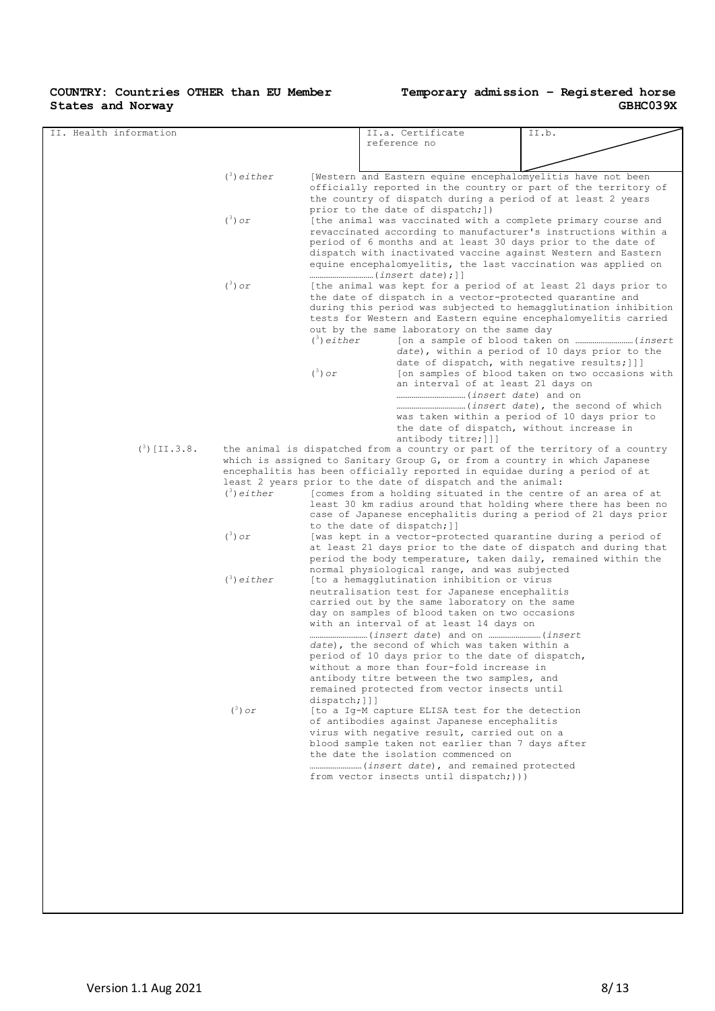| II. Health information |                                                                            |                                                                                                                                 | II.a. Certificate                                                                                | II.b.                                                                         |  |  |
|------------------------|----------------------------------------------------------------------------|---------------------------------------------------------------------------------------------------------------------------------|--------------------------------------------------------------------------------------------------|-------------------------------------------------------------------------------|--|--|
|                        |                                                                            |                                                                                                                                 | reference no                                                                                     |                                                                               |  |  |
|                        |                                                                            |                                                                                                                                 |                                                                                                  |                                                                               |  |  |
|                        |                                                                            |                                                                                                                                 |                                                                                                  |                                                                               |  |  |
|                        | $(3)$ either                                                               |                                                                                                                                 | [Western and Eastern equine encephalomyelitis have not been                                      | officially reported in the country or part of the territory of                |  |  |
|                        |                                                                            |                                                                                                                                 | the country of dispatch during a period of at least 2 years<br>prior to the date of dispatch; ]) |                                                                               |  |  |
|                        | $(^3)$ or                                                                  |                                                                                                                                 |                                                                                                  | [the animal was vaccinated with a complete primary course and                 |  |  |
|                        |                                                                            |                                                                                                                                 |                                                                                                  | revaccinated according to manufacturer's instructions within a                |  |  |
|                        |                                                                            |                                                                                                                                 |                                                                                                  | period of 6 months and at least 30 days prior to the date of                  |  |  |
|                        |                                                                            |                                                                                                                                 |                                                                                                  | dispatch with inactivated vaccine against Western and Eastern                 |  |  |
|                        |                                                                            |                                                                                                                                 |                                                                                                  | equine encephalomyelitis, the last vaccination was applied on                 |  |  |
|                        | $(^3)$ or                                                                  |                                                                                                                                 |                                                                                                  | [the animal was kept for a period of at least 21 days prior to                |  |  |
|                        |                                                                            |                                                                                                                                 | the date of dispatch in a vector-protected quarantine and                                        |                                                                               |  |  |
|                        |                                                                            |                                                                                                                                 |                                                                                                  | during this period was subjected to hemagglutination inhibition               |  |  |
|                        |                                                                            |                                                                                                                                 | out by the same laboratory on the same day                                                       | tests for Western and Eastern equine encephalomyelitis carried                |  |  |
|                        |                                                                            | $(3)$ either                                                                                                                    |                                                                                                  |                                                                               |  |  |
|                        |                                                                            |                                                                                                                                 |                                                                                                  | date), within a period of 10 days prior to the                                |  |  |
|                        |                                                                            |                                                                                                                                 | date of dispatch, with negative results; []]                                                     |                                                                               |  |  |
|                        |                                                                            | $(\sqrt[3]{\partial}$                                                                                                           | an interval of at least 21 days on                                                               | [on samples of blood taken on two occasions with                              |  |  |
|                        |                                                                            |                                                                                                                                 |                                                                                                  |                                                                               |  |  |
|                        |                                                                            |                                                                                                                                 |                                                                                                  |                                                                               |  |  |
|                        |                                                                            |                                                                                                                                 |                                                                                                  | was taken within a period of 10 days prior to                                 |  |  |
|                        |                                                                            |                                                                                                                                 | the date of dispatch, without increase in                                                        |                                                                               |  |  |
| $(^{3})$ [II.3.8.      |                                                                            |                                                                                                                                 | antibody titre; []]                                                                              | the animal is dispatched from a country or part of the territory of a country |  |  |
|                        | which is assigned to Sanitary Group G, or from a country in which Japanese |                                                                                                                                 |                                                                                                  |                                                                               |  |  |
|                        |                                                                            |                                                                                                                                 | encephalitis has been officially reported in equidae during a period of at                       |                                                                               |  |  |
|                        | $(3)$ either                                                               |                                                                                                                                 | least 2 years prior to the date of dispatch and the animal:                                      |                                                                               |  |  |
|                        |                                                                            | [comes from a holding situated in the centre of an area of at<br>least 30 km radius around that holding where there has been no |                                                                                                  |                                                                               |  |  |
|                        |                                                                            |                                                                                                                                 |                                                                                                  | case of Japanese encephalitis during a period of 21 days prior                |  |  |
|                        | $(^3)$ or                                                                  | to the date of dispatch; []                                                                                                     |                                                                                                  | [was kept in a vector-protected quarantine during a period of                 |  |  |
|                        |                                                                            |                                                                                                                                 |                                                                                                  | at least 21 days prior to the date of dispatch and during that                |  |  |
|                        |                                                                            |                                                                                                                                 |                                                                                                  | period the body temperature, taken daily, remained within the                 |  |  |
|                        | $(^3)$ either                                                              |                                                                                                                                 | normal physiological range, and was subjected                                                    |                                                                               |  |  |
|                        |                                                                            |                                                                                                                                 | [to a hemagglutination inhibition or virus<br>neutralisation test for Japanese encephalitis      |                                                                               |  |  |
|                        |                                                                            |                                                                                                                                 | carried out by the same laboratory on the same                                                   |                                                                               |  |  |
|                        |                                                                            |                                                                                                                                 | day on samples of blood taken on two occasions                                                   |                                                                               |  |  |
|                        |                                                                            |                                                                                                                                 | with an interval of at least 14 days on                                                          |                                                                               |  |  |
|                        |                                                                            |                                                                                                                                 | date), the second of which was taken within a                                                    |                                                                               |  |  |
|                        |                                                                            |                                                                                                                                 | period of 10 days prior to the date of dispatch,                                                 |                                                                               |  |  |
|                        |                                                                            |                                                                                                                                 | without a more than four-fold increase in                                                        |                                                                               |  |  |
|                        |                                                                            |                                                                                                                                 | antibody titre between the two samples, and                                                      |                                                                               |  |  |
|                        |                                                                            | $dispatch;$ ]]]                                                                                                                 | remained protected from vector insects until                                                     |                                                                               |  |  |
|                        | $(\lambda^3)$ or                                                           |                                                                                                                                 | [to a Ig-M capture ELISA test for the detection                                                  |                                                                               |  |  |
|                        |                                                                            |                                                                                                                                 | of antibodies against Japanese encephalitis<br>virus with negative result, carried out on a      |                                                                               |  |  |
|                        |                                                                            |                                                                                                                                 | blood sample taken not earlier than 7 days after                                                 |                                                                               |  |  |
|                        |                                                                            |                                                                                                                                 | the date the isolation commenced on                                                              |                                                                               |  |  |
|                        |                                                                            |                                                                                                                                 |                                                                                                  |                                                                               |  |  |
|                        |                                                                            |                                                                                                                                 | from vector insects until dispatch;)))                                                           |                                                                               |  |  |
|                        |                                                                            |                                                                                                                                 |                                                                                                  |                                                                               |  |  |
|                        |                                                                            |                                                                                                                                 |                                                                                                  |                                                                               |  |  |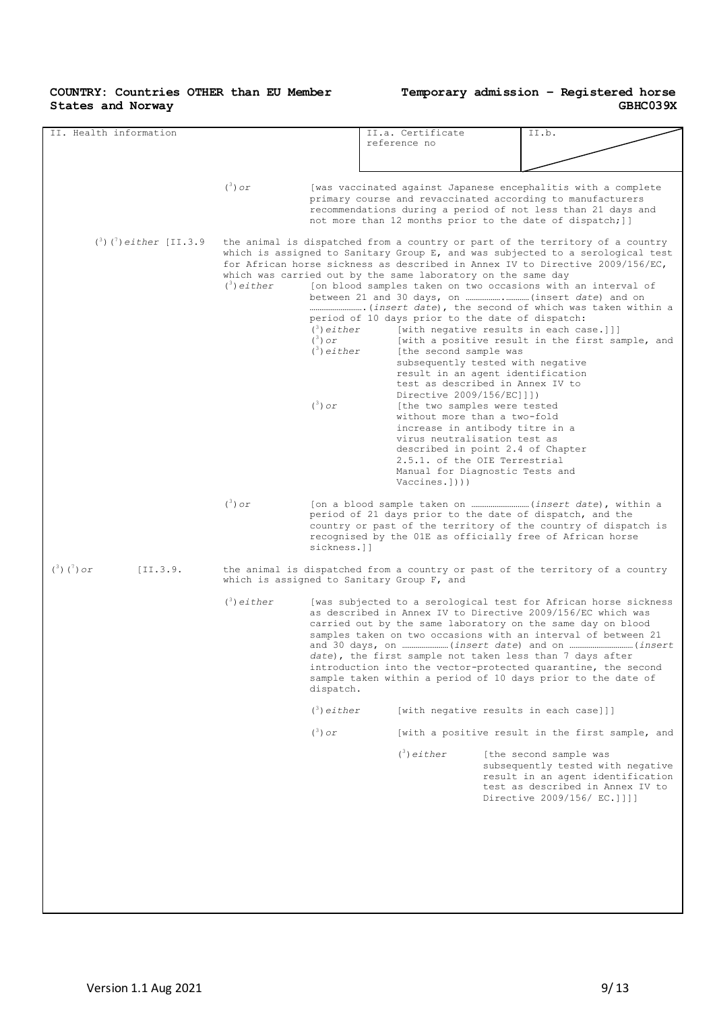| II. Health information   |                                  |                       |                                                                                                                                                                                                                                                                                                                                                                                                                                                                                                                                                                                                                                                                                                                                                                                                                                                                                                                                                                                                                                                                                                                           | II.a. Certificate                                        |  | II.b.                                                                                                                                                                                                                                                                                                                                                                                           |
|--------------------------|----------------------------------|-----------------------|---------------------------------------------------------------------------------------------------------------------------------------------------------------------------------------------------------------------------------------------------------------------------------------------------------------------------------------------------------------------------------------------------------------------------------------------------------------------------------------------------------------------------------------------------------------------------------------------------------------------------------------------------------------------------------------------------------------------------------------------------------------------------------------------------------------------------------------------------------------------------------------------------------------------------------------------------------------------------------------------------------------------------------------------------------------------------------------------------------------------------|----------------------------------------------------------|--|-------------------------------------------------------------------------------------------------------------------------------------------------------------------------------------------------------------------------------------------------------------------------------------------------------------------------------------------------------------------------------------------------|
|                          |                                  |                       |                                                                                                                                                                                                                                                                                                                                                                                                                                                                                                                                                                                                                                                                                                                                                                                                                                                                                                                                                                                                                                                                                                                           | reference no                                             |  |                                                                                                                                                                                                                                                                                                                                                                                                 |
|                          |                                  |                       |                                                                                                                                                                                                                                                                                                                                                                                                                                                                                                                                                                                                                                                                                                                                                                                                                                                                                                                                                                                                                                                                                                                           |                                                          |  |                                                                                                                                                                                                                                                                                                                                                                                                 |
|                          |                                  |                       |                                                                                                                                                                                                                                                                                                                                                                                                                                                                                                                                                                                                                                                                                                                                                                                                                                                                                                                                                                                                                                                                                                                           |                                                          |  |                                                                                                                                                                                                                                                                                                                                                                                                 |
|                          |                                  | $(\lambda^3)$ or      |                                                                                                                                                                                                                                                                                                                                                                                                                                                                                                                                                                                                                                                                                                                                                                                                                                                                                                                                                                                                                                                                                                                           |                                                          |  | [was vaccinated against Japanese encephalitis with a complete<br>primary course and revaccinated according to manufacturers<br>recommendations during a period of not less than 21 days and                                                                                                                                                                                                     |
|                          | $(^{3})$ $(^{7})$ either [II.3.9 | $(3)$ either          | not more than 12 months prior to the date of dispatch; ]]<br>the animal is dispatched from a country or part of the territory of a country<br>which is assigned to Sanitary Group $E$ , and was subjected to a serological test<br>for African horse sickness as described in Annex IV to Directive 2009/156/EC,<br>which was carried out by the same laboratory on the same day<br>[on blood samples taken on two occasions with an interval of<br>period of 10 days prior to the date of dispatch:<br>$\binom{3}{2}$ either<br>[with negative results in each case.]]]<br>$(\lambda)$ or<br>[with a positive result in the first sample, and<br>$(3)$ either<br>[the second sample was<br>subsequently tested with negative<br>result in an agent identification<br>test as described in Annex IV to<br>Directive 2009/156/EC]]])<br>$(\lambda^3)$ or<br>[the two samples were tested<br>without more than a two-fold<br>increase in antibody titre in a<br>virus neutralisation test as<br>described in point 2.4 of Chapter<br>2.5.1. of the OIE Terrestrial<br>Manual for Diagnostic Tests and<br>$Vacines.$ $)$ $)$ |                                                          |  |                                                                                                                                                                                                                                                                                                                                                                                                 |
|                          |                                  | $(\lambda^3)$ or      | sickness.]]                                                                                                                                                                                                                                                                                                                                                                                                                                                                                                                                                                                                                                                                                                                                                                                                                                                                                                                                                                                                                                                                                                               | period of 21 days prior to the date of dispatch, and the |  | country or past of the territory of the country of dispatch is<br>recognised by the O1E as officially free of African horse                                                                                                                                                                                                                                                                     |
| $({}^{3})$ $({}^{7})$ or | $[I1.3.9]$ .                     |                       |                                                                                                                                                                                                                                                                                                                                                                                                                                                                                                                                                                                                                                                                                                                                                                                                                                                                                                                                                                                                                                                                                                                           | which is assigned to Sanitary Group F, and               |  | the animal is dispatched from a country or past of the territory of a country                                                                                                                                                                                                                                                                                                                   |
|                          |                                  | $\binom{3}{2}$ either | dispatch.                                                                                                                                                                                                                                                                                                                                                                                                                                                                                                                                                                                                                                                                                                                                                                                                                                                                                                                                                                                                                                                                                                                 | date), the first sample not taken less than 7 days after |  | [was subjected to a serological test for African horse sickness<br>as described in Annex IV to Directive 2009/156/EC which was<br>carried out by the same laboratory on the same day on blood<br>samples taken on two occasions with an interval of between 21<br>introduction into the vector-protected quarantine, the second<br>sample taken within a period of 10 days prior to the date of |
|                          |                                  |                       | $\binom{3}{2}$ either                                                                                                                                                                                                                                                                                                                                                                                                                                                                                                                                                                                                                                                                                                                                                                                                                                                                                                                                                                                                                                                                                                     |                                                          |  | [with negative results in each case]]]                                                                                                                                                                                                                                                                                                                                                          |
|                          |                                  |                       | $(\sqrt[3]{\cdot}$                                                                                                                                                                                                                                                                                                                                                                                                                                                                                                                                                                                                                                                                                                                                                                                                                                                                                                                                                                                                                                                                                                        |                                                          |  | [with a positive result in the first sample, and                                                                                                                                                                                                                                                                                                                                                |
|                          |                                  |                       |                                                                                                                                                                                                                                                                                                                                                                                                                                                                                                                                                                                                                                                                                                                                                                                                                                                                                                                                                                                                                                                                                                                           | $(3)$ either                                             |  | [the second sample was<br>subsequently tested with negative<br>result in an agent identification<br>test as described in Annex IV to<br>Directive 2009/156/ EC.1111                                                                                                                                                                                                                             |
|                          |                                  |                       |                                                                                                                                                                                                                                                                                                                                                                                                                                                                                                                                                                                                                                                                                                                                                                                                                                                                                                                                                                                                                                                                                                                           |                                                          |  |                                                                                                                                                                                                                                                                                                                                                                                                 |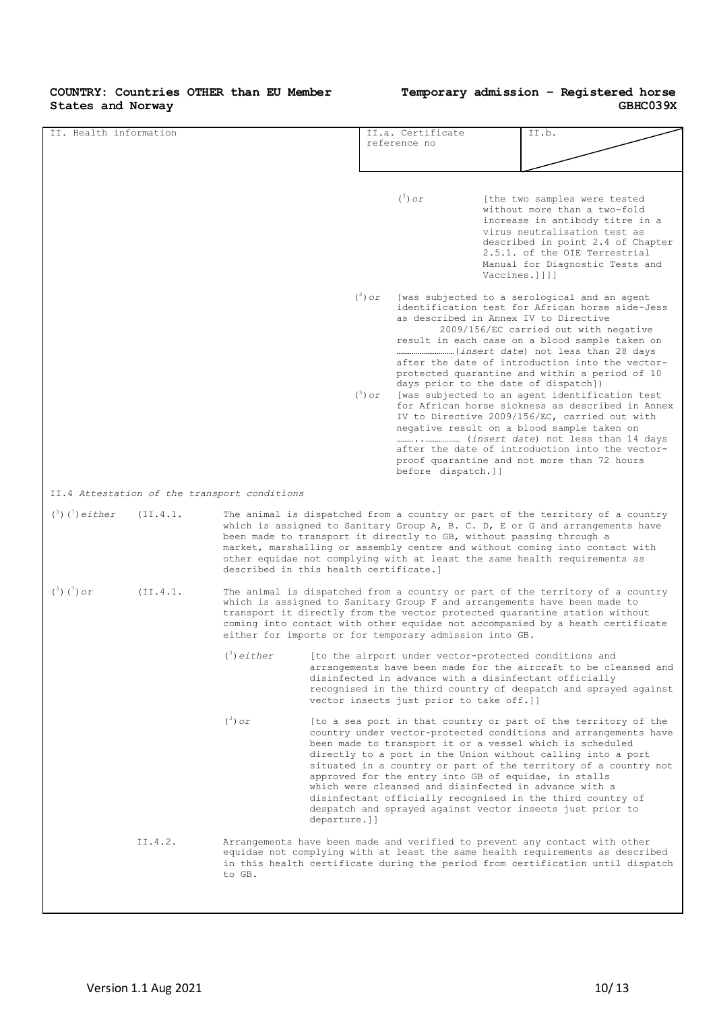| II. Health information   |          |                                              |              | II.a. Certificate                                      |               | II.b.                                                                                                                                                                                                                                                                                                                                                                                                                                                                                                                                                                       |
|--------------------------|----------|----------------------------------------------|--------------|--------------------------------------------------------|---------------|-----------------------------------------------------------------------------------------------------------------------------------------------------------------------------------------------------------------------------------------------------------------------------------------------------------------------------------------------------------------------------------------------------------------------------------------------------------------------------------------------------------------------------------------------------------------------------|
|                          |          |                                              |              | reference no                                           |               |                                                                                                                                                                                                                                                                                                                                                                                                                                                                                                                                                                             |
|                          |          |                                              |              |                                                        |               |                                                                                                                                                                                                                                                                                                                                                                                                                                                                                                                                                                             |
|                          |          |                                              |              |                                                        |               |                                                                                                                                                                                                                                                                                                                                                                                                                                                                                                                                                                             |
|                          |          |                                              |              |                                                        |               |                                                                                                                                                                                                                                                                                                                                                                                                                                                                                                                                                                             |
|                          |          |                                              |              | $(\sqrt[3]{\partial}$                                  |               | [the two samples were tested                                                                                                                                                                                                                                                                                                                                                                                                                                                                                                                                                |
|                          |          |                                              |              |                                                        |               | without more than a two-fold<br>increase in antibody titre in a                                                                                                                                                                                                                                                                                                                                                                                                                                                                                                             |
|                          |          |                                              |              |                                                        |               | virus neutralisation test as                                                                                                                                                                                                                                                                                                                                                                                                                                                                                                                                                |
|                          |          |                                              |              |                                                        |               | described in point 2.4 of Chapter                                                                                                                                                                                                                                                                                                                                                                                                                                                                                                                                           |
|                          |          |                                              |              |                                                        |               | 2.5.1. of the OIE Terrestrial                                                                                                                                                                                                                                                                                                                                                                                                                                                                                                                                               |
|                          |          |                                              |              |                                                        |               | Manual for Diagnostic Tests and                                                                                                                                                                                                                                                                                                                                                                                                                                                                                                                                             |
|                          |          |                                              |              |                                                        | Vaccines.]]]] |                                                                                                                                                                                                                                                                                                                                                                                                                                                                                                                                                                             |
|                          |          |                                              |              |                                                        |               | $(3)$ or [was subjected to a serological and an agent<br>identification test for African horse side-Jess<br>as described in Annex IV to Directive<br>2009/156/EC carried out with negative<br>result in each case on a blood sample taken on                                                                                                                                                                                                                                                                                                                                |
|                          |          |                                              |              |                                                        |               |                                                                                                                                                                                                                                                                                                                                                                                                                                                                                                                                                                             |
|                          |          |                                              |              |                                                        |               | after the date of introduction into the vector-<br>protected quarantine and within a period of 10<br>days prior to the date of dispatch])                                                                                                                                                                                                                                                                                                                                                                                                                                   |
|                          |          |                                              | $(3)$ or     |                                                        |               | [was subjected to an agent identification test<br>for African horse sickness as described in Annex<br>IV to Directive 2009/156/EC, carried out with                                                                                                                                                                                                                                                                                                                                                                                                                         |
|                          |          |                                              |              |                                                        |               | negative result on a blood sample taken on                                                                                                                                                                                                                                                                                                                                                                                                                                                                                                                                  |
|                          |          |                                              |              |                                                        |               | after the date of introduction into the vector-                                                                                                                                                                                                                                                                                                                                                                                                                                                                                                                             |
|                          |          |                                              |              | before dispatch.]]                                     |               | proof quarantine and not more than 72 hours                                                                                                                                                                                                                                                                                                                                                                                                                                                                                                                                 |
|                          |          |                                              |              |                                                        |               |                                                                                                                                                                                                                                                                                                                                                                                                                                                                                                                                                                             |
|                          |          | II.4 Attestation of the transport conditions |              |                                                        |               |                                                                                                                                                                                                                                                                                                                                                                                                                                                                                                                                                                             |
| $(3)(7)$ either          | (II.4.1. | described in this health certificate. 1      |              |                                                        |               | The animal is dispatched from a country or part of the territory of a country<br>which is assigned to Sanitary Group A, B. C. D, E or G and arrangements have<br>been made to transport it directly to GB, without passing through a<br>market, marshalling or assembly centre and without coming into contact with<br>other equidae not complying with at least the same health requirements as                                                                                                                                                                            |
| $({}^{3})$ $({}^{7})$ or | (TI.4.1. |                                              |              | either for imports or for temporary admission into GB. |               | The animal is dispatched from a country or part of the territory of a country<br>which is assigned to Sanitary Group F and arrangements have been made to<br>transport it directly from the vector protected quarantine station without<br>coming into contact with other equidae not accompanied by a heath certificate                                                                                                                                                                                                                                                    |
|                          |          | $\binom{3}{2}$ either                        |              | vector insects just prior to take off.]]               |               | [to the airport under vector-protected conditions and<br>arrangements have been made for the aircraft to be cleansed and<br>disinfected in advance with a disinfectant officially<br>recognised in the third country of despatch and sprayed against                                                                                                                                                                                                                                                                                                                        |
|                          |          | $(3)$ or                                     | departure.]] |                                                        |               | [to a sea port in that country or part of the territory of the<br>country under vector-protected conditions and arrangements have<br>been made to transport it or a vessel which is scheduled<br>directly to a port in the Union without calling into a port<br>situated in a country or part of the territory of a country not<br>approved for the entry into GB of equidae, in stalls<br>which were cleansed and disinfected in advance with a<br>disinfectant officially recognised in the third country of<br>despatch and sprayed against vector insects just prior to |
|                          | II.4.2.  | to GB.                                       |              |                                                        |               | Arrangements have been made and verified to prevent any contact with other<br>equidae not complying with at least the same health requirements as described<br>in this health certificate during the period from certification until dispatch                                                                                                                                                                                                                                                                                                                               |
|                          |          |                                              |              |                                                        |               |                                                                                                                                                                                                                                                                                                                                                                                                                                                                                                                                                                             |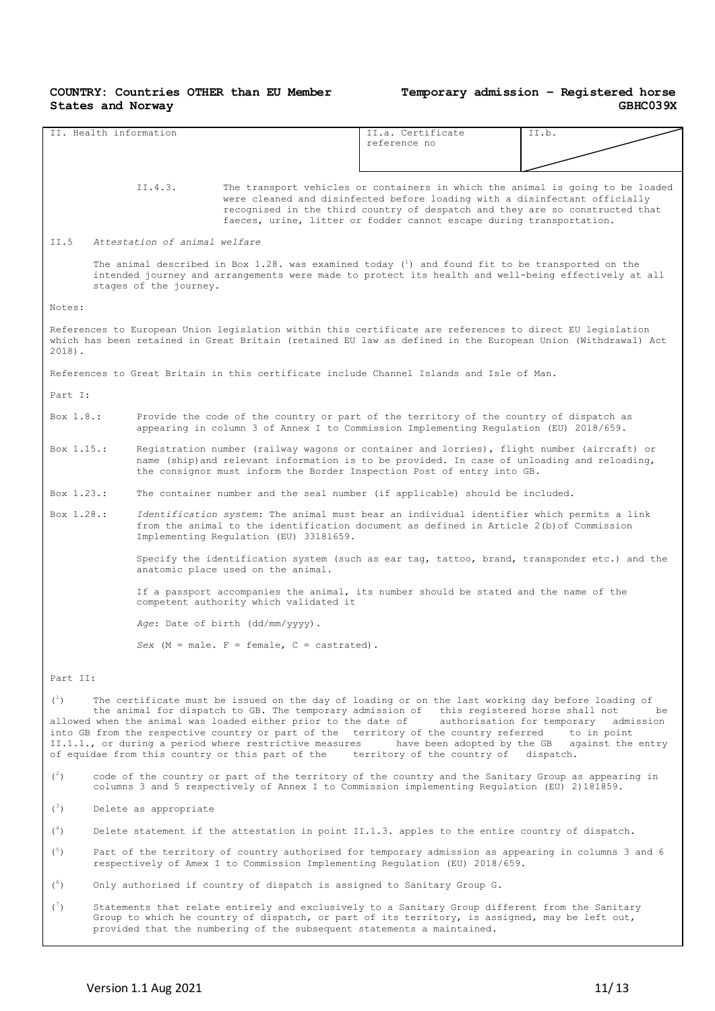| II. Health information                                                                                                                                                                                                                                                                                                                                                                                                                                                                                                                                                                                                                           |                                                                                                                                                                                                                                                                                                                                 |                                               | II.a. Certificate                                                                                                                                                                                                       | II.b. |  |  |  |
|--------------------------------------------------------------------------------------------------------------------------------------------------------------------------------------------------------------------------------------------------------------------------------------------------------------------------------------------------------------------------------------------------------------------------------------------------------------------------------------------------------------------------------------------------------------------------------------------------------------------------------------------------|---------------------------------------------------------------------------------------------------------------------------------------------------------------------------------------------------------------------------------------------------------------------------------------------------------------------------------|-----------------------------------------------|-------------------------------------------------------------------------------------------------------------------------------------------------------------------------------------------------------------------------|-------|--|--|--|
|                                                                                                                                                                                                                                                                                                                                                                                                                                                                                                                                                                                                                                                  |                                                                                                                                                                                                                                                                                                                                 |                                               | reference no                                                                                                                                                                                                            |       |  |  |  |
|                                                                                                                                                                                                                                                                                                                                                                                                                                                                                                                                                                                                                                                  |                                                                                                                                                                                                                                                                                                                                 |                                               |                                                                                                                                                                                                                         |       |  |  |  |
|                                                                                                                                                                                                                                                                                                                                                                                                                                                                                                                                                                                                                                                  | II.4.3.<br>The transport vehicles or containers in which the animal is going to be loaded<br>were cleaned and disinfected before loading with a disinfectant officially<br>recognised in the third country of despatch and they are so constructed that<br>faeces, urine, litter or fodder cannot escape during transportation. |                                               |                                                                                                                                                                                                                         |       |  |  |  |
| II.5                                                                                                                                                                                                                                                                                                                                                                                                                                                                                                                                                                                                                                             | Attestation of animal welfare                                                                                                                                                                                                                                                                                                   |                                               |                                                                                                                                                                                                                         |       |  |  |  |
|                                                                                                                                                                                                                                                                                                                                                                                                                                                                                                                                                                                                                                                  |                                                                                                                                                                                                                                                                                                                                 |                                               | The animal described in Box 1.28. was examined today $\binom{1}{1}$ and found fit to be transported on the                                                                                                              |       |  |  |  |
|                                                                                                                                                                                                                                                                                                                                                                                                                                                                                                                                                                                                                                                  | stages of the journey.                                                                                                                                                                                                                                                                                                          |                                               | intended journey and arrangements were made to protect its health and well-being effectively at all                                                                                                                     |       |  |  |  |
| Notes:                                                                                                                                                                                                                                                                                                                                                                                                                                                                                                                                                                                                                                           |                                                                                                                                                                                                                                                                                                                                 |                                               |                                                                                                                                                                                                                         |       |  |  |  |
| $2018$ .                                                                                                                                                                                                                                                                                                                                                                                                                                                                                                                                                                                                                                         |                                                                                                                                                                                                                                                                                                                                 |                                               | References to European Union legislation within this certificate are references to direct EU legislation<br>which has been retained in Great Britain (retained EU law as defined in the European Union (Withdrawal) Act |       |  |  |  |
|                                                                                                                                                                                                                                                                                                                                                                                                                                                                                                                                                                                                                                                  |                                                                                                                                                                                                                                                                                                                                 |                                               | References to Great Britain in this certificate include Channel Islands and Isle of Man.                                                                                                                                |       |  |  |  |
| Part I:                                                                                                                                                                                                                                                                                                                                                                                                                                                                                                                                                                                                                                          |                                                                                                                                                                                                                                                                                                                                 |                                               |                                                                                                                                                                                                                         |       |  |  |  |
| Box 1.8.:                                                                                                                                                                                                                                                                                                                                                                                                                                                                                                                                                                                                                                        | Provide the code of the country or part of the territory of the country of dispatch as<br>appearing in column 3 of Annex I to Commission Implementing Regulation (EU) 2018/659.                                                                                                                                                 |                                               |                                                                                                                                                                                                                         |       |  |  |  |
| Box 1.15.:                                                                                                                                                                                                                                                                                                                                                                                                                                                                                                                                                                                                                                       | Registration number (railway wagons or container and lorries), flight number (aircraft) or<br>name (ship) and relevant information is to be provided. In case of unloading and reloading,<br>the consignor must inform the Border Inspection Post of entry into GB.                                                             |                                               |                                                                                                                                                                                                                         |       |  |  |  |
| Box 1.23.:                                                                                                                                                                                                                                                                                                                                                                                                                                                                                                                                                                                                                                       |                                                                                                                                                                                                                                                                                                                                 |                                               | The container number and the seal number (if applicable) should be included.                                                                                                                                            |       |  |  |  |
| Box 1.28.:                                                                                                                                                                                                                                                                                                                                                                                                                                                                                                                                                                                                                                       | Identification system: The animal must bear an individual identifier which permits a link<br>from the animal to the identification document as defined in Article 2(b) of Commission<br>Implementing Regulation (EU) 33181659.                                                                                                  |                                               |                                                                                                                                                                                                                         |       |  |  |  |
|                                                                                                                                                                                                                                                                                                                                                                                                                                                                                                                                                                                                                                                  | anatomic place used on the animal.                                                                                                                                                                                                                                                                                              |                                               | Specify the identification system (such as ear tag, tattoo, brand, transponder etc.) and the                                                                                                                            |       |  |  |  |
|                                                                                                                                                                                                                                                                                                                                                                                                                                                                                                                                                                                                                                                  |                                                                                                                                                                                                                                                                                                                                 | competent authority which validated it        | If a passport accompanies the animal, its number should be stated and the name of the                                                                                                                                   |       |  |  |  |
|                                                                                                                                                                                                                                                                                                                                                                                                                                                                                                                                                                                                                                                  | Age: Date of birth (dd/mm/yyyy).                                                                                                                                                                                                                                                                                                |                                               |                                                                                                                                                                                                                         |       |  |  |  |
|                                                                                                                                                                                                                                                                                                                                                                                                                                                                                                                                                                                                                                                  |                                                                                                                                                                                                                                                                                                                                 | Sex $(M = male. F = female, C = castrated)$ . |                                                                                                                                                                                                                         |       |  |  |  |
|                                                                                                                                                                                                                                                                                                                                                                                                                                                                                                                                                                                                                                                  |                                                                                                                                                                                                                                                                                                                                 |                                               |                                                                                                                                                                                                                         |       |  |  |  |
| Part II:                                                                                                                                                                                                                                                                                                                                                                                                                                                                                                                                                                                                                                         |                                                                                                                                                                                                                                                                                                                                 |                                               |                                                                                                                                                                                                                         |       |  |  |  |
| $\binom{1}{1}$<br>The certificate must be issued on the day of loading or on the last working day before loading of<br>the animal for dispatch to GB. The temporary admission of this registered horse shall not<br>be<br>allowed when the animal was loaded either prior to the date of authorisation for temporary<br>admission<br>into GB from the respective country or part of the territory of the country referred<br>to in point<br>II.1.1., or during a period where restrictive measures<br>have been adopted by the GB<br>against the entry<br>of equidae from this country or this part of the territory of the country of dispatch. |                                                                                                                                                                                                                                                                                                                                 |                                               |                                                                                                                                                                                                                         |       |  |  |  |
| (2)                                                                                                                                                                                                                                                                                                                                                                                                                                                                                                                                                                                                                                              | code of the country or part of the territory of the country and the Sanitary Group as appearing in<br>columns 3 and 5 respectively of Annex I to Commission implementing Regulation (EU) 2)181859.                                                                                                                              |                                               |                                                                                                                                                                                                                         |       |  |  |  |
| $(^3)$                                                                                                                                                                                                                                                                                                                                                                                                                                                                                                                                                                                                                                           | Delete as appropriate                                                                                                                                                                                                                                                                                                           |                                               |                                                                                                                                                                                                                         |       |  |  |  |
| $\binom{4}{ }$                                                                                                                                                                                                                                                                                                                                                                                                                                                                                                                                                                                                                                   |                                                                                                                                                                                                                                                                                                                                 |                                               | Delete statement if the attestation in point II.1.3. apples to the entire country of dispatch.                                                                                                                          |       |  |  |  |
| $\binom{5}{ }$                                                                                                                                                                                                                                                                                                                                                                                                                                                                                                                                                                                                                                   |                                                                                                                                                                                                                                                                                                                                 |                                               | Part of the territory of country authorised for temporary admission as appearing in columns 3 and 6<br>respectively of Amex I to Commission Implementing Regulation (EU) 2018/659.                                      |       |  |  |  |
|                                                                                                                                                                                                                                                                                                                                                                                                                                                                                                                                                                                                                                                  |                                                                                                                                                                                                                                                                                                                                 |                                               |                                                                                                                                                                                                                         |       |  |  |  |

- $(6)$ <sup>6</sup>) Only authorised if country of dispatch is assigned to Sanitary Group G.
- $(\bar{ }')$  $7$ ) Statements that relate entirely and exclusively to a Sanitary Group different from the Sanitary Group to which he country of dispatch, or part of its territory, is assigned, may be left out, provided that the numbering of the subsequent statements a maintained.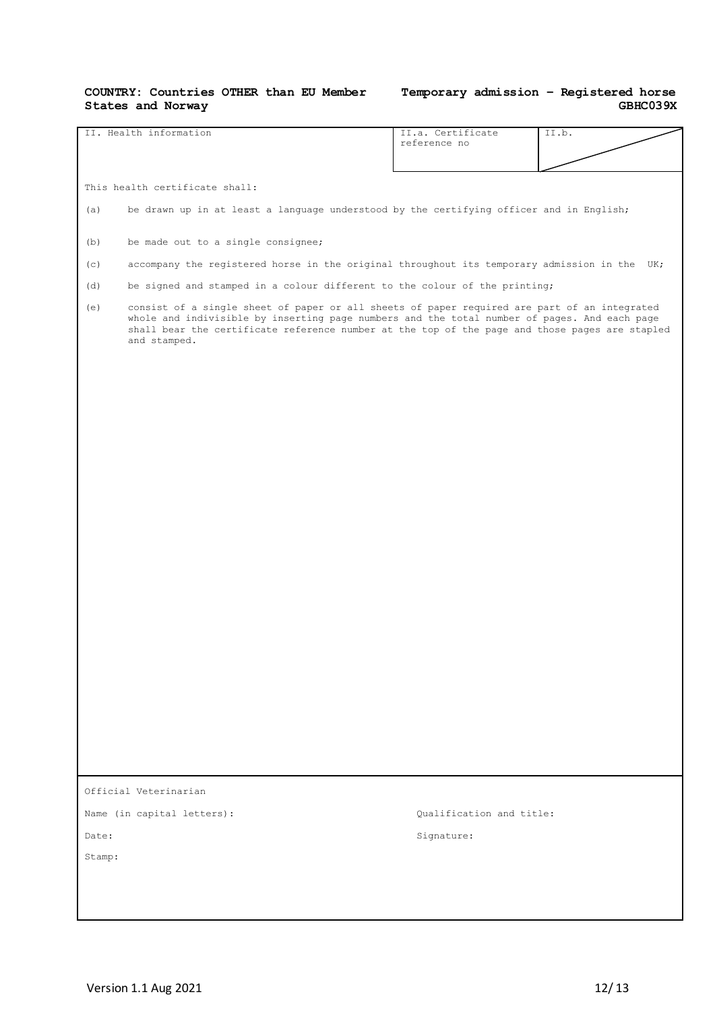#### **Temporary admission – Registered horse GBHC039X**

| II. Health information | II.a. Certificate | $- -$<br>11. V. |
|------------------------|-------------------|-----------------|
|                        | reference no      |                 |
|                        |                   |                 |
|                        |                   |                 |
|                        |                   |                 |

This health certificate shall:

- (a) be drawn up in at least a language understood by the certifying officer and in English;
- (b) be made out to a single consignee;
- (c) accompany the registered horse in the original throughout its temporary admission in the UK;
- (d) be signed and stamped in a colour different to the colour of the printing;
- (e) consist of a single sheet of paper or all sheets of paper required are part of an integrated whole and indivisible by inserting page numbers and the total number of pages. And each page shall bear the certificate reference number at the top of the page and those pages are stapled and stamped.

Official Veterinarian

Name (in capital letters):

Date:

Stamp:

Qualification and title:

Signature: